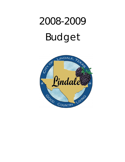# 2008-2009 Budget

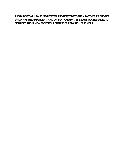**THIS BUDGET WILL RAISE MORE TOTAL PROPERTY TAXES THAN LAST YEAR'S BUDGET BY \$74,475 OR .49 PERCENT, AND OF THAT AMOUNT, \$58,890 IS TAX REVENUES TO BE RAISED FROM NEW PROPERTY ADDED TO THE TAX ROLL THIS YEAR.**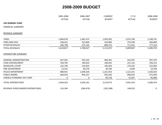|                                   | 2005-2006     | 2006-2007     | <b>CURRENT</b> | $Y-T-D$       | 2008-2009     |
|-----------------------------------|---------------|---------------|----------------|---------------|---------------|
|                                   | <b>ACTUAL</b> | <b>ACTUAL</b> | <b>BUDGET</b>  | <b>ACTUAL</b> | <b>BUDGET</b> |
| <b>102 GENERAL FUND</b>           |               |               |                |               |               |
| <b>FINANCIAL SUMMARY</b>          |               |               |                |               |               |
| <b>REVENUE SUMMARY</b>            |               |               |                |               |               |
| <b>TAXES</b>                      | 1,684,678     | 1,681,475     | 1,993,302      | 2,013,740     | 2,148,741     |
| <b>FINES AND FEES</b>             | 438,431       | 415,006       | 310,000        | 374,296       | 360,000       |
| <b>OTHER REVENUES</b>             | 496,708       | 673,145       | 809,373        | 711,931       | 777,233       |
| <b>TOTAL REVENUES</b>             | 2,619,817     | 2,769,627     | 3,112,675      | 3,099,967     | 3,285,974     |
| <b>EXPENDITURE SUMMARY</b>        |               |               |                |               |               |
| <b>GENERAL ADMINISTRATION</b>     | 647,581       | 593,105       | 484,381        | 423,507       | 507,476       |
| <b>CODE ENFORCEMENT</b>           | 104,705       | 184,033       | 248,455        | 221,123       | 236,313       |
| MUNICIPAL COURT                   | 222,740       | 210,924       | 196,303        | 270,102       | 252,965       |
| <b>FIRE DEPARTMENT</b>            | 13,532        | 30,376        | 30,760         | 5,040         | 19,760        |
| POLICE DEPARTMENT                 | 808,941       | 1,040,426     | 1,261,953      | 1,122,241     | 1,202,010     |
| <b>PUBLIC WORKS</b>               | 666,924       | 995,237       | 902,403        | 896,033       | 972,450       |
| LINDALE ECONOMIC DEV CORP.        | 0             | 0             | 90,718         | 13,367        | 95,000        |
| <b>TOTAL EXPENDITURES</b>         | 2,464,423     | 3,054,101     | 3,214,973      | 2,951,414     | 3,285,974     |
| REVENUE OVER/(UNDER) EXPENDITURES | 155,394       | (284, 474)    | (102, 298)     | 148,553       | 0             |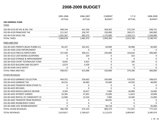|                                     | 2005-2006        | 2006-2007     | <b>CURRENT</b> | $Y-T-D$       | 2008-2009        |
|-------------------------------------|------------------|---------------|----------------|---------------|------------------|
|                                     | <b>ACTUAL</b>    | <b>ACTUAL</b> | <b>BUDGET</b>  | <b>ACTUAL</b> | <b>BUDGET</b>    |
| <b>102-GENERAL FUND</b>             |                  |               |                |               |                  |
| <b>TAXES</b>                        |                  |               |                |               |                  |
| 102-00-4110 AD VAL & DEL TAX        | 448,144          | 441,356       | 568,302        | 575,254       | 638,741          |
| 102-00-4120 FRANCHISE TAX           | 211,167          | 256,747       | 250,000        | 269,371       | 260,000          |
| 102-00-4130 SALES TAX               | 1,025,367        | 983,373       | 1,175,000      | 1,169,115     | 1,250,000        |
| <b>TOTAL TAXES</b>                  | 1,684,678        | 1,681,475     | 1,993,302      | 2,013,740     | 2,148,741        |
| <b>FINES AND FEES</b>               |                  |               |                |               |                  |
| 102-00-4205 PERMITS (BLDG-PLMBG-EL) | 96,167           | 105,431       | 60,000         | 49,086        | 60,000           |
| 102-00-4206 CODE ENFORCEMENT        | $\Omega$         | 0             | 0              | 0             | $\Omega$         |
| 102-00-4210 FINES & FORFEITURES     | 327,546          | 300,511       | 250,000        | 324,642       | 300,000          |
| 102-00-4215 CASH BONDS (SUSPENSE)   | 0                | 224           | 0              | 323           | 0                |
| 102-00-4220 STORAGE & IMPOUNDMENT   | $\mathbf 0$      | 0             | 0              | 0             | $\mathbf 0$      |
| 102-00-4230 COURT TECHNOLOGY FUND   | 8,645            | 4,501         | 0              | 184           | $\mathbf 0$      |
| 102-00-4235 BUILDING AND SECURITY   | 6,073            | 4,339         | 0              | 61            | $\boldsymbol{0}$ |
| 102-00-4240 CHILD SAFETY            | $\Omega$         | $\Omega$      | 0              | 0             | $\Omega$         |
| <b>TOTAL FINES AND FEES</b>         | 438,431          | 415,006       | 310,000        | 374,296       | 360,000          |
| OTHER REVENUES                      |                  |               |                |               |                  |
| 102-00-4310 GARBAGE COLLECTION      | 404,552          | 556,602       | 550,000        | 576,592       | 598,633          |
| 102-00-4410 GARBAGE TAX             | 36,516           | 44,682        | 45,600         | 42,035        | 48,000           |
| 102-00-4420 TRANSFER FROM OTHER FU  | $\mathbf 0$      | 0             | 0              | 0             | 0                |
| 102-00-4425 REFUNDS                 | 0                | 0             | 0              | 0             | $\Omega$         |
| 102-00-4430 MISCELLANEOUS INCOME    | 9,394            | 10,927        | 7,000          | 64,896        | 10,600           |
| 102-00-4435 INTEREST EARNED         | 33,285           | 47,601        | 25,000         | 11,823        | 10,000           |
| 102-00-4445 RENTAL OF COMMUNITY CE  | 12,960           | 13,334        | 7,000          | 16,585        | 15,000           |
| 102-00-4465 TRANSFER FROM RESERVES  | $\mathbf 0$      | 0             | 84,055         | 0             | 0                |
| 102-00-4485 REIMBURSED FUNDS        | $\boldsymbol{0}$ | 0             | 0              | 0             | $\Omega$         |
| 102-00-4486 LEDC REIMBURSEMENT      | $\mathbf 0$      | $\mathbf 0$   | 90,718         | 0             | 95,000           |
| <b>TOTAL OTHER REVENUES</b>         | 496,708          | 673,145       | 809,373        | 711,931       | 777,233          |
| <b>TOTAL REVENUES</b>               | 2,619,817        | 2,769,627     | 3,112,675      | 3,099,967     | 3,285,974        |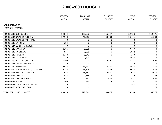|                                      | 2005-2006<br><b>ACTUAL</b> | 2006-2007<br><b>ACTUAL</b> | <b>CURRENT</b><br><b>BUDGET</b> | $Y-T-D$<br><b>ACTUAL</b> | 2008-2009<br><b>BUDGET</b> |
|--------------------------------------|----------------------------|----------------------------|---------------------------------|--------------------------|----------------------------|
| <b>ADMINISTRATION</b>                |                            |                            |                                 |                          |                            |
| PERSONNEL SERVICES                   |                            |                            |                                 |                          |                            |
| 102-01-5110 SUPERVISION              | 92,024                     | 153,632                    | 115,647                         | 89,733                   | 119,171                    |
| 102-01-5111 SALARIES FULL-TIME       | 27,940                     | 40,017                     | 30,183                          | 23,441                   | 31,089                     |
| 102-01-5112 SALARIES PART-TIME       | 0                          | 0                          | 0                               | 0                        | 0                          |
| 102-01-5113 OVERTIME                 | 294                        | 0                          | 0                               | 0                        | $\mathbf 0$                |
| 102-01-5114 CONTRACT LABOR           | $\mathbf{0}$               | 0                          | 0                               | $\Omega$                 | $\boldsymbol{0}$           |
| 102-01-5115 VACATION                 | 2,296                      | 9,826                      | 0                               | 9,447                    | 0                          |
| 102-01-5116 SICK LEAVE               | 835                        | 1,055                      | 0                               | 1,832                    | 0                          |
| 102-01-5117 HOLIDAY                  | 2,148                      | 5,642                      | 0                               | 6,170                    | $\Omega$                   |
| 102-01-5118 COMP TIME                | 1,270                      | 7,806                      | 0                               | 3,847                    | $\Omega$                   |
| 102-01-5130 AUTO ALLOWANCE           | 7,400                      | 0                          | 4,800                           | 4,246                    | 6,000                      |
| 102-01-5155 CERTIFICATION PAY        | $\mathbf{0}$               | 0                          | 0                               | $\Omega$                 | $\Omega$                   |
| 102-01-5160 RETIREMENT               | 10,633                     | 16,241                     | 16,871                          | 12,547                   | 21,880                     |
| 102-01-5170 SOCIAL SECURITY/MEDICARE | 10,274                     | 16,676                     | 11,524                          | 10,612                   | 11,955                     |
| 102-01-5175 HEALTH INSURANCE         | 11,685                     | 18,751                     | 12,650                          | 11,618                   | 13,020                     |
| 102-01-5176 DENTAL                   | 1,048                      | 1,286                      | 828                             | 739                      | 855                        |
| 102-01-5177 LIFE INSURANCE           | 672                        | 992                        | 648                             | 511                      | 660                        |
| 102-01-5178 VISION                   | 300                        | 423                        | 324                             | 297                      | 330                        |
| 102-01-5179 LONG TERM DISABILITY     | $\mathbf 0$                | 0                          | 0                               | 342                      | 540                        |
| 102-01-5180 WORKERS COMP             | $\mathbf 0$                | 0                          | 0                               | 1,171                    | 276                        |
| <b>TOTAL PERSONNEL SERVICES</b>      | 168,818                    | 272,346                    | 193,475                         | 176,553                  | 205,776                    |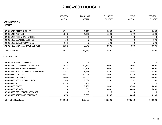|                                        | 2005-2006<br><b>ACTUAL</b> | 2006-2007<br><b>ACTUAL</b> | <b>CURRENT</b><br><b>BUDGET</b> | $Y-T-D$<br><b>ACTUAL</b> | 2008-2009<br><b>BUDGET</b> |
|----------------------------------------|----------------------------|----------------------------|---------------------------------|--------------------------|----------------------------|
|                                        |                            |                            |                                 |                          |                            |
| <b>SUPPLIES</b>                        |                            |                            |                                 |                          |                            |
|                                        |                            |                            |                                 |                          |                            |
| 102-01-5210 OFFICE SUPPLIES            | 5,361                      | 6,111                      | 6,000                           | 3,657                    | 6,000                      |
| 102-01-5215 POSTAGE                    | 1,068                      | 1,360                      | 1,500                           | 679                      | 1,500                      |
| 102-01-5235 TECHNICAL SUPPLIES         | 0                          | $\pmb{0}$                  | 0                               | 0                        | $\mathbf 0$                |
| 102-01-5250 CLEANING SUPPLIES          | 28                         | $\mathbf 0$                | 100                             | 0                        | 100                        |
| 102-01-5255 BUILDING SUPPLIES          | 172                        | $\mathbf 0$                | 200                             | 0                        | 200                        |
| 102-01-5290 MISCELLANEOUS SUPPLIES     | 2,192                      | 7,948                      | 3,000                           | 880                      | 3,000                      |
| <b>TOTAL SUPPLIES</b>                  | 8,821                      | 15,419                     | 10,800                          | 5,215                    | 10,800                     |
| CONTRACTUAL                            |                            |                            |                                 |                          |                            |
| 102-01-5305 MISCELLANEOUS              | $\mathbf 0$                | 29                         | 0                               | 0                        | $\Omega$                   |
| 102-01-5310 COMMUNICATIONS-TELE        | 12,515                     | 12,190                     | 12,000                          | 12,607                   | 16,000                     |
| 102-01-5315 INSURANCE & BONDS          | 19,113                     | 21,129                     | 24,000                          | 23,051                   | 25,000                     |
| 102-01-5320 PUBLICATIONS & ADVERTISING | 4,161                      | 3,659                      | 3,500                           | 2,568                    | 3,500                      |
| 102-01-5325 UTILITIES                  | 18,942                     | 17,059                     | 20,000                          | 18,730                   | 20,000                     |
| 102-01-5330 LIBRARIAN                  | 18,000                     | 36,000                     | 36,000                          | 33,000                   | 36,000                     |
| 102-01-5335 ASSOCIATIONS DUES          | 1,348                      | 2,588                      | 2,500                           | 1,751                    | 2,500                      |
| 102-01-5345 ICSC                       | 23,518                     | 1,104                      | 0                               | $\mathbf 0$              | $\Omega$                   |
| 102-01-5350 TRAVEL                     | 1,223                      | 8,102                      | 10,000                          | 4,704                    | 15,000                     |
| 102-01-5355 SCHOOLS                    | 2,228                      | 1,500                      | 3,000                           | 3,043                    | 6,000                      |
| 102-01-5360 ETS FEES (CREDIT CARD)     | $\Omega$                   | $\mathbf 0$                | 0                               | 0                        | $\Omega$                   |
| 102-01-5395 SOFTWARE CONTRACT          | 2,870                      | 5,365                      | 9,500                           | 8,806                    | 9,900                      |
| TOTAL CONTRACTUAL                      | 103,918                    | 108,723                    | 120,500                         | 108,260                  | 133,900                    |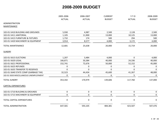|                                        | 2005-2006     | 2006-2007     | <b>CURRENT</b> | $Y-T-D$       | 2008-2009     |
|----------------------------------------|---------------|---------------|----------------|---------------|---------------|
|                                        | <b>ACTUAL</b> | <b>ACTUAL</b> | <b>BUDGET</b>  | <b>ACTUAL</b> | <b>BUDGET</b> |
| <b>ADMINISTRATION</b>                  |               |               |                |               |               |
| <b>MAINTENANCE</b>                     |               |               |                |               |               |
|                                        |               |               |                |               |               |
| 102-01-5410 BUILDING AND GROUNDS       | 5,930         | 4,987         | 2,500          | 2,128         | 2,500         |
| 102-01-5411 JANITORIAL                 | 1,105         | 11,900        | 13,000         | 10,125        | 13,000        |
| 102-01-5415 FURNITURE & FIXTURES       | 1,732         | 174           | 500            | 294           | 500           |
| 102-01-5420 MACHINERY & EQUIPMENT      | 3,914         | 8,577         | 4,000          | 3,172         | 4,000         |
| <b>TOTAL MAINTENANCE</b>               | 12,681        | 25,638        | 20,000         | 15,719        | 20,000        |
| <b>SUNDRY</b>                          |               |               |                |               |               |
| 102-01-5615 ELECTIONS                  | 1,207         | 3,484         | 4,000          | 0             | 4,000         |
| 102-01-5620 LEGAL                      | 166,871       | 50,384        | 40,000         | 24,336        | 40,000        |
| 102-01-5621 PROFESSIONAL               | 152,741       | 72,676        | 50,000         | 52,152        | 45,000        |
| 102-01-5625 REFUNDS                    | 0             | 0             | 0              | $\Omega$      | $\Omega$      |
| 102-01-5635 TRANSFER TO RESERVES       | $\mathbf 0$   | $\mathbf 0$   | 0              | $\mathbf 0$   | $\Omega$      |
| 102-01-5640 STATE COMP (GARBAGE TAX)   | 32,523        | 44,434        | 45,600         | 41,267        | 48,000        |
| 102-01-5650 MISCELLANEOUS UNEMPLOYMENT | 0             | 0             | 6              | 5             | $\mathbf{0}$  |
| <b>TOTAL SUNDRY</b>                    | 353,342       | 170,979       | 139,606        | 117,760       | 137,000       |
| <b>CAPITAL EXPENDITURES</b>            |               |               |                |               |               |
| 102-01-5710 BUILDING & GROUNDS         | $\pmb{0}$     | $\pmb{0}$     | 0              | 0             | $\mathbf 0$   |
| 102-01-5715 MACHINERY & EQUIPMENT      | $\mathbf 0$   | 0             | 0              | 0             | $\mathbf 0$   |
| TOTAL CAPITAL EXPENDITURES             | $\mathbf{0}$  | $\mathbf 0$   | 0              | $\mathbf 0$   | $\Omega$      |
| <b>TOTAL ADMINISTRATION</b>            | 647,581       | 593,105       | 484,381        | 423,507       | 507,476       |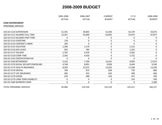|                                      | 2005-2006        | 2006-2007<br><b>ACTUAL</b> | <b>CURRENT</b> | $Y-T-D$       | 2008-2009<br><b>BUDGET</b> |
|--------------------------------------|------------------|----------------------------|----------------|---------------|----------------------------|
|                                      | <b>ACTUAL</b>    |                            | <b>BUDGET</b>  | <b>ACTUAL</b> |                            |
| <b>CODE ENFORCEMENT</b>              |                  |                            |                |               |                            |
| PERSONNEL SERVICES                   |                  |                            |                |               |                            |
| 102-02-5110 SUPERVISION              | 31,391           | 39,845                     | 52,500         | 42,379        | 54,075                     |
| 102-02-5111 SALARIES FULL-TIME       | 22,567           | 55,000                     | 65,893         | 53,975        | 67,877                     |
| 102-02-5112 SALARIES PART-TIME       | 0                | 0                          | 0              | 0             | 0                          |
| 102-02-5113 OVERTIME                 | 178              | $\mathbf 0$                | $\mathbf 0$    | 0             | 0                          |
| 102-02-5114 CONTRACT LABOR           | 100              | 0                          | 0              | $\Omega$      | 0                          |
| 102-02-5115 VACATION                 | 2,396            | 1,170                      | $\mathbf 0$    | 2,115         | 0                          |
| 102-02-5116 SICK LEAVE               | 502              | 784                        | $\pmb{0}$      | 1,201         | 0                          |
| 102-02-5117 HOLIDAY                  | 2,765            | 4,539                      | $\pmb{0}$      | 5,056         | 0                          |
| 102-02-5118 COMP TIME                | 2,265            | 4,426                      | $\pmb{0}$      | 5,722         | 0                          |
| 102-02-5155 CERTIFICATION PAY        | 0                | 0                          | 0              | 0             | 0                          |
| 102-02-5160 RETIREMENT               | 5,232            | 7,706                      | 13,261         | 9,993         | 17,075                     |
| 102-02-5170 SOCIAL SECURITY/MEDICARE | 4,748            | 8,091                      | 9,058          | 8,449         | 9,330                      |
| 102-02-5175 HEALTH INSURANCE         | 8,569            | 12,075                     | 12,620         | 11,568        | 13,100                     |
| 102-02-5176 DENTAL                   | 768              | 874                        | 828            | 739           | 860                        |
| 102-02-5177 LIFE INSURANCE           | 306              | 453                        | 636            | 408           | 660                        |
| 102-02-5178 VISION                   | 220              | 288                        | 324            | 297           | 330                        |
| 102-02-5179 LONG TERM DISABILITY     | $\boldsymbol{0}$ | $\mathbf 0$                | $\mathbf 0$    | 310           | 540                        |
| 102-02-5180 WORKERS COMP             | 0                | 0                          | 0              | 0             | 2,280                      |
| <b>TOTAL PERSONNEL SERVICES</b>      | 82,006           | 135,250                    | 155,120        | 142,211       | 166,127                    |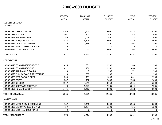|                                        | 2005-2006<br>2006-2007 | <b>CURRENT</b> | $Y-T-D$       | 2008-2009     |               |
|----------------------------------------|------------------------|----------------|---------------|---------------|---------------|
|                                        | <b>ACTUAL</b>          | <b>ACTUAL</b>  | <b>BUDGET</b> | <b>ACTUAL</b> | <b>BUDGET</b> |
| <b>CODE ENFORCEMENT</b>                |                        |                |               |               |               |
| <b>SUPPLIES</b>                        |                        |                |               |               |               |
| 102-02-5210 OFFICE SUPPLIES            | 2,190                  | 1,499          | 2,000         | 2,317         | 2,200         |
| 102-02-5215 POSTAGE                    | 305                    | 300            | 600           | 166           | 600           |
| 102-02-5225 WEARING APPAREL            | 69                     | 1,074          | 600           | 217           | 600           |
| 102-02-5230 FUEL/GAS & DIESEL          | 3,324                  | 3,124          | 4,000         | 3,286         | 4,000         |
| 102-02-5235 TECHNICAL SUPPLIES         | 1,716                  | 1,799          | 1,500         | 1,307         | 1,800         |
| 102-02-5290 MISCELLANEOUS SUPPLIES     | 9                      | $\mathbf 0$    | $\mathbf{0}$  | $\mathbf 0$   | $\Omega$      |
| 102-02-5292 COMPUTER SUPPLIES          | 0                      | 2,050          | 3,000         | 2,704         | 3,000         |
| <b>TOTAL SUPPLIES</b>                  | 7,612                  | 9,846          | 11,700        | 9,997         | 12,200        |
| CONTRACTUAL                            |                        |                |               |               |               |
| 102-02-5310 COMMUNICATIONS-TELE        | 616                    | 881            | 1,500         | 63            | 1,500         |
| 102-02-5311 COMMUNICATIONS             | 1,411                  | 438            | 1,350         | 660           | 1,200         |
| 102-02-5315 INSURANCE & BONDS          | $\mathbf 0$            | $\mathbf 0$    | 200           | 71            | 500           |
| 102-02-5320 PUBLICATIONS & ADVERTISING | 0                      | 368            | 900           | 721           | 1,200         |
| 102-02-5335 ASSOCIATIONS DUES          | 200                    | 451            | 1,050         | 1,041         | 2,200         |
| 102-02-5350 TRAVEL                     | 247                    | 402            | 2,400         | 2,360         | 2,000         |
| 102-02-5355 SCHOOLS                    | 2,317                  | 4,645          | 4,950         | 5,321         | 5,000         |
| 102-02-5395 SOFTWARE CONTRACT          | $\mathbf{0}$           | 1,323          | 7,285         | 6,844         | 7,386         |
| 102-02-5396 HUMANE SOCIETY             | 1,475                  | 1,412          | 3,000         | 1,628         | 3,000         |
| TOTAL CONTRACTUAL                      | 6,266                  | 9,921          | 22,635        | 18,708        | 23,986        |
| <b>MAINTENANCE</b>                     |                        |                |               |               |               |
| 102-02-5420 MACHINERY & EQUIPMENT      | 187                    | 3,440          | 3,000         | 3,356         | 3,000         |
| 102-02-5430 MOTOR VEHICLE & MAINT      | 89                     | 1,484          | 1,500         | 735           | 1,500         |
| 102-02-5460 MISCELLANEOUS MAINT        | 0                      | 0              | 0             | $\pmb{0}$     | 0             |
| <b>TOTAL MAINTENANCE</b>               | 276                    | 4,924          | 4,500         | 4,091         | 4,500         |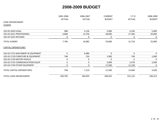|                                   | 2005-2006     | 2006-2007     | <b>CURRENT</b> | $Y-T-D$       | 2008-2009     |
|-----------------------------------|---------------|---------------|----------------|---------------|---------------|
|                                   | <b>ACTUAL</b> | <b>ACTUAL</b> | <b>BUDGET</b>  | <b>ACTUAL</b> | <b>BUDGET</b> |
| <b>CODE ENFORCEMENT</b>           |               |               |                |               |               |
| <b>SUNDRY</b>                     |               |               |                |               |               |
|                                   |               |               |                |               |               |
| 102-02-5620 LEGAL                 | 988           | 3,136         | 5,000          | 4,336         | 5,000         |
| 102-02-5621 PROFESSIONAL          | 6,808         | 13,746        | 28,000         | 27,396        | 20,000        |
| 102-02-5625 REFUNDS               | 0             | 0             | 0              | 0             | 0             |
| <b>TOTAL SUNDRY</b>               | 7,796         | 16,882        | 33,000         | 31,733        | 25,000        |
| <b>CAPITAL EXPENDITURES</b>       |               |               |                |               |               |
| 102-02-5715 MACHINERY & EQUIPMENT | $\mathbf 0$   | 6,986         | 0              | 0             | $\mathbf{0}$  |
| 102-02-5718 FURNITURE & EQUIPMENT | 748           | 224           | 1,000          | 749           | 1,000         |
| 102-02-5720 MOTOR VEHICLE         | $\mathbf 0$   | $\mathbf 0$   | 0              | 0             | $\Omega$      |
| 102-02-5725 COMMUNICATIONS EQUIP  | $\mathbf{0}$  | $\mathbf 0$   | 3,000          | 2,478         | 3,500         |
| 102-02-5730 OTHER EQUIPMENT       | 0             | $\mathbf 0$   | 17,500         | 11,158        | 0             |
| TOTAL CAPITAL EXPENDITURES        | 748           | 7,210         | 21,500         | 14,384        | 4,500         |
| TOTAL CODE ENFORCEMENT            | 104,705       | 184,033       | 248,455        | 221,123       | 236,313       |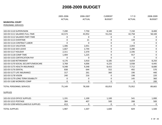|                                      | 2005-2006<br><b>ACTUAL</b> | 2006-2007<br><b>ACTUAL</b> | <b>CURRENT</b><br><b>BUDGET</b> | $Y-T-D$<br><b>ACTUAL</b> | 2008-2009<br><b>BUDGET</b> |
|--------------------------------------|----------------------------|----------------------------|---------------------------------|--------------------------|----------------------------|
|                                      |                            |                            |                                 |                          |                            |
| <b>MUNICIPAL COURT</b>               |                            |                            |                                 |                          |                            |
| <b>PERSONNEL SERVICES</b>            |                            |                            |                                 |                          |                            |
| 102-03-5110 SUPERVISION              | 7,200                      | 7,750                      | 8,100                           | 7,150                    | 8,400                      |
| 102-03-5111 SALARIES FULL-TIME       | 42,573                     | 43,952                     | 55,216                          | 42,758                   | 58,100                     |
| 102-03-5112 SALARIES PART-TIME       | $\Omega$                   | 0                          | 0                               | $\Omega$                 | $\mathbf 0$                |
| 102-03-5113 OVERTIME                 | $\mathbf 0$                | 21                         | $\pmb{0}$                       | 139                      | $\mathbf 0$                |
| 102-03-5114 CONTRACT LABOR           | $\mathbf 0$                | $\Omega$                   | $\mathbf 0$                     | $\Omega$                 | 0                          |
| 102-03-5115 VACATION                 | 1,306                      | 2,051                      | 0                               | 2,043                    | 0                          |
| 102-03-5116 SICK LEAVE               | 1,667                      | 2,744                      | $\pmb{0}$                       | 3,280                    | 0                          |
| 102-03-5117 HOLIDAY                  | 2,311                      | 2,370                      | $\mathbf 0$                     | 2,336                    | 0                          |
| 102-03-5118 COMP TIME                | 1,404                      | 1,225                      | $\mathbf 0$                     | 917                      | 0                          |
| 102-03-5155 CERTIFICATION PAY        | $\mathbf 0$                | $\pmb{0}$                  | $\pmb{0}$                       | 0                        | $\mathbf 0$                |
| 102-03-5160 RETIREMENT               | 4,176                      | 3,910                      | 6,185                           | 4,654                    | 8,250                      |
| 102-03-5170 SOCIAL SECURITY/MEDICARE | 3,768                      | 4,006                      | 4,225                           | 3,938                    | 4,445                      |
| 102-03-5175 HEALTH INSURANCE         | 9,348                      | 9,348                      | 8,415                           | 7,712                    | 8,680                      |
| 102-03-5176 DENTAL                   | 838                        | 644                        | 552                             | 492                      | 570                        |
| 102-03-5177 LIFE INSURANCE           | 317                        | 261                        | 360                             | 190                      | 440                        |
| 102-03-5178 VISION                   | 240                        | 216                        | 0                               | 198                      | 220                        |
| 102-03-5179 LONG TERM DISABILITY     | $\mathbf 0$                | $\pmb{0}$                  | $\mathbf 0$                     | 145                      | 360                        |
| 102-03-5180 WORKERS COMP             | $\mathbf 0$                | 0                          | $\pmb{0}$                       | 0                        | 200                        |
| <b>TOTAL PERSONNEL SERVICES</b>      | 75,149                     | 78,500                     | 83,053                          | 75,952                   | 89,665                     |
| <b>SUPPLIES</b>                      |                            |                            |                                 |                          |                            |
| 102-03-5210 OFFICE SUPPLIES          | 1,191                      | 1,100                      | 1,100                           | 541                      | 1,000                      |
| 102-03-5215 POSTAGE                  | 384                        | 407                        | 500                             | 288                      | 500                        |
| 102-03-5290 MISCELLANEOUS SUPPLIES   | 413                        | 0                          | 0                               | 0                        | $\Omega$                   |
| <b>TOTAL SUPPLIES</b>                | 1,987                      | 1,507                      | 1,600                           | 829                      | 1,500                      |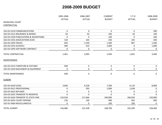|                                        | 2005-2006     | 2006-2007     | <b>CURRENT</b> | $Y-T-D$       | 2008-2009     |
|----------------------------------------|---------------|---------------|----------------|---------------|---------------|
|                                        | <b>ACTUAL</b> | <b>ACTUAL</b> | <b>BUDGET</b>  | <b>ACTUAL</b> | <b>BUDGET</b> |
| MUNICIPAL COURT                        |               |               |                |               |               |
| CONTRACTUAL                            |               |               |                |               |               |
|                                        |               |               |                |               |               |
| 102-03-5310 COMMUNICATIONS             | $\mathbf 0$   | $\mathbf 0$   | $\mathbf 0$    | $\mathbf 0$   | 500           |
| 102-03-5315 INSURANCE & BONDS-         | 50            | 50            | 100            | 50            | 100           |
| 102-03-5320 PUBLICATIONS & ADVERTISING | $\mathbf 0$   | $\mathbf 0$   | 100            | 0             | 100           |
| 102-03-5335 ASSOCIATIONS DUES          | 318           | 105           | 250            | 105           | 200           |
| 102-03-5350 TRAVEL                     | 693           | 1,530         | 1,500          | 897           | 1,500         |
| 102-03-5355 SCHOOLS                    | 400           | 410           | 1,000          | 0             | 1,000         |
| 102-03-5395 SOFTWARE CONTRACT          | 0             | 0             | 0              | 0             | $\mathbf 0$   |
| <b>TOTAL CONTRACTUAL</b>               | 1,461         | 2,095         | 2,950          | 1,052         | 3,400         |
| <b>MAINTENANCE</b>                     |               |               |                |               |               |
| 102-03-5415 FURNITURE & FIXTURES       | 938           | 0             | 0              | $\mathbf 0$   | $\mathbf{0}$  |
| 102-03-5420 MACHINERY & EQUIPMENT      | $\mathbf 0$   | $\mathbf 0$   | 0              | 0             | $\mathbf 0$   |
| <b>TOTAL MAINTENANCE</b>               | 938           | $\mathbf 0$   | $\mathbf 0$    | 0             | $\Omega$      |
| <b>SUNDRY</b>                          |               |               |                |               |               |
| 102-03-5620 LEGAL                      | 3,836         | 4,228         | 7,200          | 6,119         | 8,000         |
| 102-03-5621 PROFESSIONAL               | $\pmb{0}$     | 295           | 1,000          | 1,638         | 0             |
| 102-03-5625 REFUNDS                    | $\mathbf 0$   | 0             | 0              | 0             | $\Omega$      |
| 102-03-5635 TRANSFER TO RESERVES       | $\mathbf 0$   | $\mathbf 0$   | 0              | 0             | $\mathbf{0}$  |
| 102-03-5636 TRANSFER TO STATE-FINE     | 133,018       | 117,666       | 100,000        | 184,050       | 150,000       |
| 102-03-5655 COURT EXPENSE              | 126           | 150           | 400            | 362           | 400           |
| 102-03-5660 MISCELLANEOUS              | $\mathbf 0$   | 0             | 100            | 100           | $\mathbf 0$   |
| <b>TOTAL SUNDRY</b>                    | 136,980       | 122,338       | 108,700        | 192,269       | 158,400       |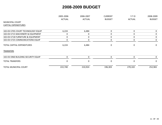|                                     | 2005-2006     | 2006-2007     | <b>CURRENT</b> | $Y-T-D$       | 2008-2009     |
|-------------------------------------|---------------|---------------|----------------|---------------|---------------|
|                                     | <b>ACTUAL</b> | <b>ACTUAL</b> | <b>BUDGET</b>  | <b>ACTUAL</b> | <b>BUDGET</b> |
| <b>MUNICIPAL COURT</b>              |               |               |                |               |               |
| <b>CAPITAL EXPENDITURES</b>         |               |               |                |               |               |
| 102-03-5705 COURT TECHNOLOGY EQUIP  | 6,224         | 6,484         | 0              | $\mathbf{0}$  | 0             |
| 102-03-5715 MACHINERY & EQUIPMENT   | 0             | 0             | 0              | 0             | 0             |
| 102-03-5718 FURNITURE & EQUIPMENT   | $\Omega$      | 0             | $\pmb{0}$      | 0             | $\mathbf{0}$  |
| 102-03-5725 COMMUNICATIONS EQUIP    | 0             | 0             | $\pmb{0}$      | $\mathbf 0$   | $\mathbf{0}$  |
| TOTAL CAPITAL EXPENDITURES          | 6,224         | 6,484         | 0              | 0             | $\mathbf{0}$  |
| <b>TRANSFERS</b>                    |               |               |                |               |               |
| 102-03-5960 BUILDING SECURITY EQUIP | $\Omega$      | $\mathbf{0}$  | $\mathbf 0$    | $\mathbf{0}$  | $\mathbf{0}$  |
| <b>TOTAL TRANSFERS</b>              | <sup>0</sup>  | 0             | $\Omega$       | 0             | $\Omega$      |
| <b>TOTAL MUNICIPAL COURT</b>        | 222,740       | 210,924       | 196,303        | 270,102       | 252,965       |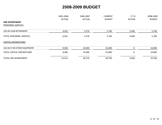|                             | 2005-2006     | 2006-2007<br><b>ACTUAL</b> | <b>CURRENT</b><br><b>BUDGET</b> | $Y-T-D$<br><b>ACTUAL</b> | 2008-2009<br><b>BUDGET</b> |
|-----------------------------|---------------|----------------------------|---------------------------------|--------------------------|----------------------------|
|                             | <b>ACTUAL</b> |                            |                                 |                          |                            |
| <b>FIRE DEPARTMENT</b>      |               |                            |                                 |                          |                            |
| PERSONNEL SERVICES          |               |                            |                                 |                          |                            |
| 102-04-5160 RETIREMENT      | 4,032         | 5,376                      | 5,760                           | 5,040                    | 5,760                      |
| TOTAL PERSONNEL SERVICES    | 4,032         | 5,376                      | 5,760                           | 5,040                    | 5,760                      |
| <b>CAPITAL EXPENDITURES</b> |               |                            |                                 |                          |                            |
| 102-04-5730 OTHER EQUIPMENT | 9,500         | 25,000                     | 25,000                          | 0                        | 14,000                     |
| TOTAL CAPITAL EXPENDITURES  | 9,500         | 25,000                     | 25,000                          | 0                        | 14,000                     |
| TOTAL FIRE DEPARTMENT       | 13,532        | 30,376                     | 30,760                          | 5,040                    | 19,760                     |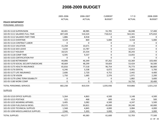|                                                                  | 2005-2006     | 2006-2007     | <b>CURRENT</b> | $Y-T-D$       | 2008-2009     |
|------------------------------------------------------------------|---------------|---------------|----------------|---------------|---------------|
|                                                                  | <b>ACTUAL</b> | <b>ACTUAL</b> | <b>BUDGET</b>  | <b>ACTUAL</b> | <b>BUDGET</b> |
| <b>POLICE DEPARTMENT</b>                                         |               |               |                |               |               |
| PERSONNEL SERVICES                                               |               |               |                |               |               |
| 102-05-5110 SUPERVISION                                          | 60,401        |               |                | 46,048        |               |
|                                                                  |               | 48,985        | 55,705         |               | 57,400        |
| 102-05-5111 SALARIES FULL-TIME<br>102-05-5112 SALARIES PART-TIME | 407,328       | 510,324       | 718,412        | 563,341       | 675,810       |
|                                                                  | 1,886         | 8,918         | 0              | 1,303         | $\mathbf{0}$  |
| 102-05-5113 OVERTIME                                             | 4,529         | 869           | 5,000          | 4,318         | 5,000         |
| 102-05-5114 CONTRACT LABOR                                       | $\mathbf 0$   | 0             | $\mathbf 0$    | 0             | 0             |
| 102-05-5115 VACATION                                             | 15,358        | 10,671        | $\pmb{0}$      | 27,433        | $\mathbf 0$   |
| 102-05-5116 SICK LEAVE                                           | 5,634         | 13,787        | $\mathbf 0$    | 12,613        | $\mathbf 0$   |
| 102-05-5117 HOLIDAY                                              | 18,525        | 25,554        | $\pmb{0}$      | 30,243        | 0             |
| 102-05-5118 COMP TIME                                            | 6,595         | 9,337         | 0              | 13,055        | $\mathbf 0$   |
| 102-05-5155 CERTIFICATION PAY                                    | $\Omega$      | 0             | $\mathbf 0$    | $\Omega$      | $\Omega$      |
| 102-05-5160 RETIREMENT                                           | 44,896        | 46,349        | 87,262         | 63,369        | 103,400       |
| 102-05-5170 SOCIAL SECURITY/MEDICARE                             | 40,669        | 48,299        | 59,603         | 53,424        | 56,500        |
| 102-05-5175 HEALTH INSURANCE                                     | 65,816        | 77,518        | 96,754         | 76,773        | 86,800        |
| 102-05-5176 DENTAL                                               | 6,246         | 5,538         | 6,072          | 4,901         | 5,700         |
| 102-05-5177 LIFE INSURANCE                                       | 2,606         | 2,720         | 4,752          | 2,442         | 4,400         |
| 102-05-5178 VISION                                               | 1,750         | 1,685         | 2,376          | 1,971         | 2,200         |
| 102-05-5179 LONG TERM DISABILITY                                 | 0             | 0             | 0              | 1,882         | 3,600         |
| 102-05-5180 WORK COMP                                            | $\mathbf 0$   | 0             | $\mathbf 0$    | 16,750        | 20,400        |
| <b>TOTAL PERSONNEL SERVICES</b>                                  | 682,238       | 810,554       | 1,035,936      | 919,866       | 1,021,210     |
| <b>SUPPLIES</b>                                                  |               |               |                |               |               |
| 102-05-5210 OFFICE SUPPLIES                                      | 5,264         | 4,863         | 4,500          | 3,148         | 4,500         |
| 102-05-5215 POSTAGE                                              | 522           | 468           | 600            | 419           | 500           |
| 102-05-5225 WEARING APPAREL                                      | 3,405         | 3,082         | 4,500          | 4,247         | 5,500         |
| 102-05-5230 FUEL/GAS & DIESEL                                    | 29,572        | 30,821        | 45,000         | 39,240        | 60,000        |
| 102-05-5235 TECHNICAL SUPPLIES                                   | 1,568         | 4,845         | 4,000          | 3,084         | 4,000         |
| 102-05-5290 MISCELLANEOUS SUPPLIES                               | 2,946         | 5,303         | 3,000          | 2,565         | 3,000         |
| <b>TOTAL SUPPLIES</b>                                            | 43,277        | 49,383        | 61,600         | 52,703        | 77,500        |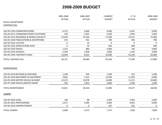|                                        | 2005-2006     | 2006-2007     | <b>CURRENT</b> | $Y-T-D$       | 2008-2009     |
|----------------------------------------|---------------|---------------|----------------|---------------|---------------|
|                                        | <b>ACTUAL</b> | <b>ACTUAL</b> | <b>BUDGET</b>  | <b>ACTUAL</b> | <b>BUDGET</b> |
| POLICE DEPARTMENT                      |               |               |                |               |               |
| CONTRACTUAL                            |               |               |                |               |               |
| 102-05-5310 COMMUNICATIONS             | 6,372         | 6,686         | 9,000          | 6,361         | 6,000         |
| 102-05-5311 COMMUNICATIONS-TELEPHONE   | 239           | 2,691         | 3,500          | 2,859         | 3,500         |
| 102-05-5315 INSURANCE & BONDS-CASUALTY | 22,444        | 25,264        | 27,500         | 23,225        | 15,000        |
| 102-05-5320 PUBLICATIONS & ADVERTISING | 191           | 431           | 700            | 560           | 700           |
| 102-05-5325 UTILITIES                  | $\mathbf 0$   | 19            | $\Omega$       | 0             | $\mathbf{0}$  |
| 102-05-5335 ASSOCIATIONS DUES          | $\mathbf 0$   | 50            | 500            | 480           | 600           |
| 102-05-5350 TRAVEL                     | 1,322         | 884           | 4,000          | 746           | 4,000         |
| 102-05-5355 SCHOOLS                    | 2,209         | 1,858         | 3,000          | 1,543         | 3,000         |
| 102-05-5395 CONTRACTS-MISC.            | 13,944        | 8,201         | 35,000         | 41,530        | 35,000        |
| <b>TOTAL CONTRACTUAL</b>               | 46,721        | 46,084        | 83,200         | 77,304        | 67,800        |
| MAINTENANCE                            |               |               |                |               |               |
| 102-05-5410 BUILDING & GROUNDS         | 1,248         | 920           | 1,500          | 552           | 1,500         |
| 102-05-5420 MACHINERY & EQUIPMENT      | 9,802         | 7,612         | 12,500         | 11,993        | 6,000         |
| 102-05-5430 MOTOR VEHICLE & MAINT      | 12,225        | 10,078        | 14,000         | 11,212        | 20,000        |
| 102-05-5460 MISCELLANEOUS MAINT        | 545           | 1,823         | 3,000          | 1,920         | 1,000         |
| <b>TOTAL MAINTENANCE</b>               | 23,821        | 20,434        | 31,000         | 25,677        | 28,500        |
| <b>SUNDRY</b>                          |               |               |                |               |               |
| 102-05-5620 LEGAL                      | 138           | 88            | 3,500          | 3,364         | 3,000         |
| 102-05-5621 PROFESSIONAL               | 2,671         | 3,385         | 4,000          | 4,063         | 4,000         |
| 102-05-5650 UNEMPLOYMENT               | 0             | 0             | 237            | 501           | 0             |
| <b>TOTAL SUNDRY</b>                    | 2,809         | 3,473         | 7,737          | 7,928         | 7,000         |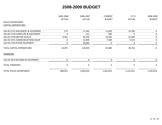|                                   | 2005-2006     | 2006-2007        | <b>CURRENT</b> | $Y-T-D$       | 2008-2009     |
|-----------------------------------|---------------|------------------|----------------|---------------|---------------|
|                                   | <b>ACTUAL</b> | <b>ACTUAL</b>    | <b>BUDGET</b>  | <b>ACTUAL</b> | <b>BUDGET</b> |
| POLICE DEPARTMENT                 |               |                  |                |               |               |
| <b>CAPITAL EXPENDITURES</b>       |               |                  |                |               |               |
| 102-05-5715 MACHINERY & EQUIPMENT | 574           | 17,563           | 11,000         | 10,780        | 0             |
| 102-05-5718 FURNITURE & EQUIPMENT | $\Omega$      | 121              | 480            | 0             | 0             |
| 102-05-5720 MOTOR VEHICLE         | 9,501         | 59,750           | 23,500         | 22,469        | 0             |
| 102-05-5725 COMMUNICATIONS EQUIP  | 0             | 12,400           | 7,500          | 5,514         | 0             |
| 102-05-5730 OTHER EQUIPMENT       | 0             | 20,664           | 0              | 0             | 0             |
| <b>TOTAL CAPITAL EXPENDITURES</b> | 10,075        | 110,499          | 42,480         | 38,763        | $\mathbf 0$   |
| <b>TRANSFERS</b>                  |               |                  |                |               |               |
| 102-05-5910 BUILDING & EQUIPMENT  | 0             | $\mathbf 0$      | $\pmb{0}$      | $\mathbf 0$   | $\mathbf{0}$  |
| <b>TOTAL TRANSFERS</b>            | 0             | $\boldsymbol{0}$ | $\pmb{0}$      | 0             | $\mathbf 0$   |
| TOTAL POLICE DEPARTMENT           | 808,941       | 1,040,426        | 1,261,953      | 1,122,241     | 1,202,010     |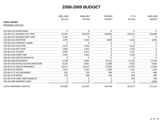|                                      | 2005-2006<br><b>ACTUAL</b> | 2006-2007<br><b>ACTUAL</b> | <b>CURRENT</b><br><b>BUDGET</b> | $Y-T-D$<br><b>ACTUAL</b> | 2008-2009<br><b>BUDGET</b> |
|--------------------------------------|----------------------------|----------------------------|---------------------------------|--------------------------|----------------------------|
| <b>PUBLIC WORKS</b>                  |                            |                            |                                 |                          |                            |
| PERSONNEL SERVICES                   |                            |                            |                                 |                          |                            |
| 102-06-5110 SUPERVISION              | 0                          | $\mathbf 0$                | 0                               | $\mathbf 0$              | 0                          |
| 102-06-5111 SALARIES FULL-TIME       | 62,361                     | 100,059                    | 140,892                         | 105,237                  | 119,480                    |
| 102-06-5112 SALARIES PART-TIME       | 7,183                      | 0                          | $\mathbf 0$                     | $\mathbf{0}$             | 0                          |
| 102-06-5113 OVERTIME                 | 1,979                      | 3,455                      | 3,000                           | 1,521                    | 3,500                      |
| 102-06-5114 CONTRACT LABOR           | 0                          | 0                          | 0                               | 0                        | 0                          |
| 102-06-5115 VACATION                 | 3,107                      | 4,264                      | 0                               | 4,414                    | 0                          |
| 102-06-5116 SICK LEAVE               | 1,066                      | 2,507                      | 0                               | 3,710                    | 0                          |
| 102-06-5117 HOLIDAY                  | 3,033                      | 5,011                      | 0                               | 5,723                    | 0                          |
| 102-06-5118 COMP TIME                | 1,447                      | 1,052                      | 0                               | 2,594                    | 0                          |
| 102-06-5155 CERTIFICATION PAY        | 0                          | 0                          | 0                               | 0                        | 0                          |
| 102-06-5160 RETIREMENT               | 6,199                      | 8,662                      | 16,115                          | 11,243                   | 17,220                     |
| 102-06-5170 SOCIAL SECURITY/MEDICARE | 6,133                      | 8,901                      | 11,008                          | 9,425                    | 9,410                      |
| 102-06-5175 HEALTH INSURANCE         | 10,517                     | 18,317                     | 21,033                          | 17,879                   | 17,360                     |
| 102-06-5176 DENTAL                   | 1,011                      | 1,207                      | 1,380                           | 1,141                    | 1,140                      |
| 102-06-5177 LIFE INSURANCE           | 362                        | 526                        | 780                             | 373                      | 880                        |
| 102-06-5178 VISION                   | 270                        | 446                        | 540                             | 459                      | 440                        |
| 102-06-5179 LONG TERM DISABILITY     | 0                          | $\pmb{0}$                  | $\mathbf 0$                     | 259                      | 720                        |
| 102-06-5180 WORKERS COMP             | 0                          | 0                          | 0                               | $\mathbf 0$              | 4,000                      |
| <b>TOTAL PERSONNEL SERVICES</b>      | 104,669                    | 154,405                    | 194,748                         | 163,977                  | 174,150                    |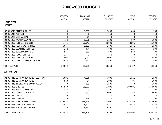|                                        | 2005-2006     | 2006-2007     | <b>CURRENT</b> | $Y-T-D$       | 2008-2009     |
|----------------------------------------|---------------|---------------|----------------|---------------|---------------|
|                                        | <b>ACTUAL</b> | <b>ACTUAL</b> | <b>BUDGET</b>  | <b>ACTUAL</b> | <b>BUDGET</b> |
| <b>PUBLIC WORKS</b>                    |               |               |                |               |               |
| <b>SUPPLIES</b>                        |               |               |                |               |               |
| 102-06-5210 OFFICE SUPPLIES            | $\mathbf 0$   | 1,368         | 2,000          | 663           | 1,500         |
| 102-06-5215 POSTAGE                    | $\mathbf 0$   | 0             | 50             | $\mathbf 0$   | 50            |
| 102-06-5220 MECHANICAL                 | $\mathbf 0$   | 79            | $\Omega$       | $\mathbf{0}$  | $\mathbf 0$   |
| 102-06-5225 WEARING APPAREL            | 722           | 1,076         | 1,200          | 677           | 1,000         |
| 102-06-5230 FUEL GAS & DIESEL          | 5,445         | 20,343        | 20,000         | 18,596        | 25,000        |
| 102-06-5235 TECHNICAL SUPPLIES         | 1,665         | 1,307         | 1,400          | 1,161         | 1,500         |
| 102-06-5250 CLEANING SUPPLIES          | 212           | 474           | 600            | 225           | 500           |
| 102-06-5255 BUILDING SUPPLIES          | 885           | 883           | 800            | 553           | 700           |
| 102-06-5260 FOOD SUPPLIES              | 225           | $\mathbf 0$   | 0              | 0             | $\mathbf 0$   |
| 102-06-5285 TRACTOR SUPPLIES           | 5,804         | 2,961         | 4,000          | 1,414         | 3,500         |
| 102-06-5290 MISCELLANEOUS SUPPLIES     | 17,913        | 447           | 500            | 209           | 500           |
| <b>TOTAL SUPPLIES</b>                  | 32,872        | 28,938        | 30,550         | 23,497        | 34,250        |
| <b>CONTRACTUAL</b>                     |               |               |                |               |               |
| 102-06-5310 COMMUNICATIONS-TELEPHONE   | 1,001         | 4,696         | 5,000          | 1,111         | 1,500         |
| 102-06-5311 COMMUNICATIONS             | 820           | 784           | 1,000          | 405           | 1,000         |
| 102-06-5315 INSURANCE & BONDS CASUALTY | 0             | 239           | 1,500          | $\mathbf 0$   | 1,800         |
| 102-06-5325 UTILITIES                  | 96,860        | 98,627        | 115,000        | 109,891       | 130,000       |
| 102-06-5335 ASSOCIATIONS DUES          | 473           | 29            | 200            | 111           | 200           |
| 102-06-5340 EQUIPMENT RENTAL           | 173           | 853           | 2,000          | 267           | 2,000         |
| 102-06-5350 TRAVEL                     | $\mathbf 0$   | $\mathbf 0$   | $\mathbf 0$    | $\mathbf 0$   | $\mathbf 0$   |
| 102-06-5355 SCHOOLS                    | 0             | 545           | 155            | 155           | 200           |
| 102-06-5370 SOLID WASTE CONTRACT       | 319,548       | 454,249       | 440,000        | 474,266       | 522,000       |
| 102-06-5375 JANITORIAL SERVICES        | 5,558         | 5,400         | 7,150          | 6,475         | 7,150         |
| 102-06-5395 SOFTWARE CONTRACT          | 0             | 3,951         | 4,500          | 2,721         | $\mathbf 0$   |
| TOTAL CONTRACTUAL                      | 424,433       | 569,373       | 576,505        | 595,402       | 665,850       |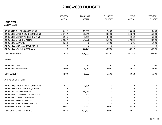|                                   | 2005-2006   | 2006-2007<br><b>ACTUAL</b><br><b>ACTUAL</b> | <b>CURRENT</b><br><b>BUDGET</b> | $Y-T-D$       | 2008-2009<br><b>BUDGET</b> |
|-----------------------------------|-------------|---------------------------------------------|---------------------------------|---------------|----------------------------|
|                                   |             |                                             |                                 | <b>ACTUAL</b> |                            |
| <b>PUBLIC WORKS</b>               |             |                                             |                                 |               |                            |
| <b>MAINTENANCE</b>                |             |                                             |                                 |               |                            |
| 102-06-5410 BUILDING & GROUNDS    | 10,452      | 15,897                                      | 17,000                          | 25,060        | 20,000                     |
| 102-06-5420 MACHINERY & EQUIPMENT | 33,727      | 38,841                                      | 20,000                          | 24,870        | 15,000                     |
| 102-06-5430 MOTOR VEHICLE & MAINT | 3,515       | 3,255                                       | 4,400                           | 4,362         | 5,000                      |
| 102-06-5435 STREETS & ALLEYS      | 20,537      | 34,876                                      | 35,000                          | 37,884        | 38,000                     |
| 102-06-5440 CULVERTS              | 3,282       | 0                                           | 1,000                           | 305           | 1,000                      |
| 102-06-5460 MISCELLANEOUS MAINT   | 0           | 0                                           | $\mathbf 0$                     | 36            | 0                          |
| 102-06-5465 SIGNALS & MARKERS     | $\pmb{0}$   | 11,164                                      | 13,000                          | 12,649        | 14,000                     |
| <b>TOTAL MAINTENANCE</b>          | 71,513      | 104,033                                     | 90,400                          | 105,164       | 93,000                     |
| <b>SUNDRY</b>                     |             |                                             |                                 |               |                            |
| 102-06-5620 LEGAL                 | $\mathbf 0$ | 30                                          | 200                             | 0             | 200                        |
| 102-06-5621 PROFESSIONAL          | 4,900       | 6,057                                       | 6,000                           | 4,018         | 5,000                      |
| <b>TOTAL SUNDRY</b>               | 4,900       | 6,087                                       | 6,200                           | 4,018         | 5,200                      |
| <b>CAPITAL EXPENDITURES</b>       |             |                                             |                                 |               |                            |
| 102-06-5715 MACHINERY & EQUIPMENT | 11,875      | 70,834                                      | $\mathbf 0$                     | 0             | $\mathbf 0$                |
| 102-06-5718 FURNITURE & EQUIPMENT | $\pmb{0}$   | $\Omega$                                    | 0                               | 0             | 0                          |
| 102-06-5720 MOTOR VEHICLE         | $\pmb{0}$   | 14,989                                      | $\mathbf 0$                     | 0             | 0                          |
| 102-06-5725 COMMUNICATIONS EQUIP  | $\pmb{0}$   | 920                                         | $\pmb{0}$                       | 0             | 0                          |
| 102-06-5730 OTHER EQUIPMENT       | $\pmb{0}$   | 0                                           | 0                               | 0             | 0                          |
| 102-06-5750 SIGNS & DISPLAYS      | $\mathbf 0$ | 0                                           | $\mathbf 0$                     | 0             | 0                          |
| 102-06-5810 SOLID WASTE DISPOSAL  | $\mathbf 0$ | 0                                           | $\mathbf 0$                     | 0             | $\mathbf 0$                |
| 102-06-5820 STREETS & ALLEYS      | 16,662      | 45,657                                      | 4,000                           | 3,975         | 0                          |
| <b>TOTAL CAPITAL EXPENDITURES</b> | 28,537      | 132,401                                     | 4,000                           | 3,975         | 0                          |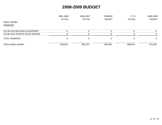|                                    | 2005-2006 | 2006-2007     | <b>CURRENT</b> | $Y-T-D$       | 2008-2009     |
|------------------------------------|-----------|---------------|----------------|---------------|---------------|
|                                    | ACTUAL    | <b>ACTUAL</b> | <b>BUDGET</b>  | <b>ACTUAL</b> | <b>BUDGET</b> |
| <b>PUBLIC WORKS</b>                |           |               |                |               |               |
| TRANSFERS                          |           |               |                |               |               |
| 102-06-5910 BUILDING & EQUIPMENT   |           |               | 0              | 0             |               |
| 102-06-5915 ATHLETIC FIELDS-GROUND |           |               | 0              | $\Omega$      | O.            |
| <b>TOTAL TRANSFERS</b>             |           |               | 0              |               | $\Omega$      |
| <b>TOTAL PUBLIC WORKS</b>          | 666,924   | 995,237       | 902,403        | 896,033       | 972,450       |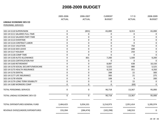|                                      | 2005-2006               | 2006-2007               | <b>CURRENT</b> | $Y-T-D$                | 2008-2009        |
|--------------------------------------|-------------------------|-------------------------|----------------|------------------------|------------------|
|                                      | <b>ACTUAL</b>           | <b>ACTUAL</b>           | <b>BUDGET</b>  | <b>ACTUAL</b>          | <b>BUDGET</b>    |
| LINDALE ECONOMIC DEV CO              |                         |                         |                |                        |                  |
| PERSONNEL SERVICES                   |                         |                         |                |                        |                  |
|                                      |                         |                         |                |                        |                  |
| 102-14-5110 SUPERVISION              | $\mathbf 0$             | (831)                   | 65,000         | 8,313                  | 65,000           |
| 102-14-5111 SALARIES FULL-TIME       | 0                       | 0                       | $\mathbf 0$    | 0                      | 0                |
| 102-14-5112 SALARIES PART-TIME       | $\mathbf 0$             | $\boldsymbol{0}$        | $\pmb{0}$      | 0                      | 0                |
| 102-14-5113 OVERTIME                 | 0                       | 0                       | $\mathbf 0$    | 0                      | 0                |
| 102-14-5114 CONTRACT LABOR           | $\mathbf 0$             | 0                       | $\mathbf 0$    | $\mathbf{0}$           | 0                |
| 102-14-5115 VACATION                 | $\mathbf 0$             | $\mathbf 0$             | $\mathbf 0$    | 750                    | 0                |
| 102-14-5116 SICK LEAVE               | $\mathbf 0$             | 0                       | $\pmb{0}$      | 688                    | $\boldsymbol{0}$ |
| 102-14-5117 HOLIDAY                  | 0                       | $\boldsymbol{0}$        | $\pmb{0}$      | 250                    | $\mathbf 0$      |
| 102-14-5118 COMP TIME                | 0                       | 0                       | 0              | $\mathbf 0$            | $\mathbf 0$      |
| 102-14-5130 AUTO ALLOWANCE           | $\mathbf 0$             | 831                     | 7,200          | 1,500                  | 9,200            |
| 102-14-5155 CERTIFICATION PAY        | 0                       | 0                       | $\overline{0}$ | 0                      | $\Omega$         |
| 102-14-5160 RETIREMENT               | 0                       | $\mathbf 0$             | 8,087          | 638                    | 10,150           |
| 102-14-5170 SOCIAL SECURITY/MEDICARE | 0                       | 0                       | 5,525          | 880                    | 5,525            |
| 102-14-5175 HEALTH INSURANCE         | $\mathbf 0$             | 0                       | 4,210          | 351                    | 4,350            |
| 102-14-5176 DENTAL                   | $\mathbf 0$             | $\mathbf 0$             | 288            | 22                     | 300              |
| 102-14-5177 LIFE INSURANCE           | $\mathbf 0$             | 0                       | 300            | 21                     | 275              |
| 102-14-5178 VISION                   | $\pmb{0}$               | 0                       | 108            | 9                      | 200              |
| 102-14-5179 LONG TERM DISABILITY     | $\mathbf 0$             | 0                       | 0              | 15                     | 0                |
| 102-14-5180 WORKERS COMP             | 0                       | 0                       | 0              | (69)                   | 0                |
| <b>TOTAL PERSONNEL SERVICES</b>      | 0                       | 0                       | 90,718         | 13,367                 | 95,000           |
| TOTAL LINDALE ECONOMIC DEV CO        | $\mathbf 0$             | $\mathbf 0$             | 90,718         | 13,367                 | 95,000           |
| TOTAL EXPENDITURES GENERAL FUND      | 2,464,423               | 3,054,101               | 3,214,973      | 2,951,414              | 3,285,974        |
| REVENUE OVER/(UNDER) EXPENDITURES    | 155,394                 | (284, 474)              | (102, 298)     | ===========<br>148,553 | ===========<br>0 |
|                                      | $=$ = = = = = = = = = = | $=$ = = = = = = = = = = | ===========    | ===========            | ===========      |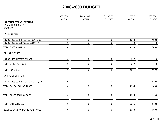| 2006-2007<br>$Y-T-D$<br>2008-2009<br><b>CURRENT</b>                               |             | 2005-2006   |                                    |
|-----------------------------------------------------------------------------------|-------------|-------------|------------------------------------|
| <b>BUDGET</b><br><b>ACTUAL</b><br><b>ACTUAL</b><br><b>BUDGET</b><br><b>ACTUAL</b> |             |             |                                    |
|                                                                                   |             |             | <b>105-COURT TECHNOLOGY FUND</b>   |
|                                                                                   |             |             | <b>FINANCIAL SUMMARY</b>           |
|                                                                                   |             |             | <b>REVENUES</b>                    |
|                                                                                   |             |             | <b>FINES AND FEES</b>              |
| $\mathbf 0$<br>$\mathbf 0$<br>0<br>8,298<br>7,000                                 |             |             | 105-00-4230 COURT TECHNOLOGY FUND  |
| $\mathbf 0$<br>0<br>0<br>$\mathbf 0$<br>0                                         |             |             | 105-00-4235 BUILDING AND SECURITY  |
| $\mathbf 0$<br>$\mathbf 0$<br>0<br>7,000<br>8,298                                 |             |             | <b>TOTAL FINES AND FEES</b>        |
|                                                                                   |             |             | <b>OTHER REVENUES</b>              |
| $\pmb{0}$<br>$\pmb{0}$<br>0<br>217<br>$\mathbf 0$                                 |             |             | 105-00-4435 INTEREST EARNED        |
| $\pmb{0}$<br>$\pmb{0}$<br>0<br>217<br>$\mathbf 0$                                 |             |             | <b>TOTAL OTHER REVENUES</b>        |
| $\mathbf 0$<br>8,515<br>$\mathbf 0$<br>$\pmb{0}$<br>7,000                         |             |             | <b>TOTAL REVENUES</b>              |
|                                                                                   |             |             | <b>CAPITAL EXPENDITURES</b>        |
| $\pmb{0}$<br>$\pmb{0}$<br>$\pmb{0}$<br>6,346<br>2,400                             |             |             | 105-30-5705 COURT TECHNOLOGY EQUIP |
| $\mathbf 0$<br>$\pmb{0}$<br>$\pmb{0}$<br>6,346<br>2,400                           |             |             | <b>TOTAL CAPITAL EXPENDITURES</b>  |
| $\pmb{0}$<br>$\pmb{0}$<br>$\pmb{0}$<br>6,346<br>2,400                             |             |             | TOTAL COURT TECHNOLOGIES           |
| 0<br>6,346<br>0<br>0<br>2,400<br>===========                                      |             |             | <b>TOTAL EXPENDITURES</b>          |
| 4,600<br>0<br>0<br>0<br>2,168<br>===========<br>===========<br>$=$ ==========     | =========== | =========== | REVENUE OVER/(UNDER) EXPENDITURES  |
| =========<br>===========                                                          |             |             |                                    |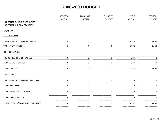|                                      | 2005-2006         | 2006-2007        | <b>CURRENT</b>   | $Y-T-D$               | 2008-2009     |
|--------------------------------------|-------------------|------------------|------------------|-----------------------|---------------|
|                                      | <b>ACTUAL</b>     | <b>ACTUAL</b>    | <b>BUDGET</b>    | <b>ACTUAL</b>         | <b>BUDGET</b> |
| <b>106-COURT BUILDING SECURITIES</b> |                   |                  |                  |                       |               |
| 106-COURT BUILDING SECURITIES        |                   |                  |                  |                       |               |
| <b>REVENUES</b>                      |                   |                  |                  |                       |               |
| <b>FINES AND FEES</b>                |                   |                  |                  |                       |               |
| 106-00-4235 BUILDING SECURITIES      | $\pmb{0}$         | $\mathbf 0$      | $\mathbf 0$      | 5,773                 | 3,000         |
| <b>TOTAL FINES AND FEES</b>          | $\mathbf 0$       | $\mathbf 0$      | $\pmb{0}$        | 5,773                 | 3,000         |
| <b>OTHER REVENUES</b>                |                   |                  |                  |                       |               |
| 106-00-4435 INTEREST EARNED          | 0                 | $\mathbf 0$      | $\mathbf 0$      | 384                   | $\mathbf 0$   |
| <b>TOTAL OTHER REVENUES</b>          | $\pmb{0}$         | $\mathbf 0$      | $\pmb{0}$        | 384                   | $\mathbf 0$   |
| <b>TOTAL REVENUES</b>                | $\mathbf 0$       | $\boldsymbol{0}$ | $\boldsymbol{0}$ | 6,157                 | 3,000         |
| <b>TRANSFERS</b>                     |                   |                  |                  |                       |               |
| 106-31-5960 BUILDING SECURITIES EQ   | $\mathbf 0$       | $\mathbf 0$      | $\mathbf 0$      | $\mathbf 0$           | $\mathbf 0$   |
| <b>TOTAL TRANSFERS</b>               | 0                 | $\mathbf 0$      | 0                | $\mathbf 0$           | 0             |
| <b>TOTAL BUILDING SECURITIES</b>     | $\mathbf{0}$      | $\mathbf 0$      | $\mathbf 0$      | $\mathbf 0$           | $\Omega$      |
| <b>TOTAL EXPENDITURES</b>            | <sup>0</sup>      | $\mathbf 0$      | $\Omega$         | $\mathbf{0}$          | 0             |
| REVENUE OVER/(UNDER) EXPENDITURES    | ------------<br>0 | ===========<br>0 | ===========<br>0 | ============<br>6,157 | ====<br>3,000 |
|                                      | ===========       | ===========      | ===========      | ===========           | ===========   |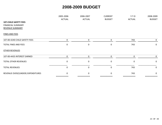|                                   | 2005-2006     | 2006-2007     | <b>CURRENT</b>   | $Y-T-D$       | 2008-2009     |
|-----------------------------------|---------------|---------------|------------------|---------------|---------------|
|                                   | <b>ACTUAL</b> | <b>ACTUAL</b> | <b>BUDGET</b>    | <b>ACTUAL</b> | <b>BUDGET</b> |
| <b>107-CHILD SAFETY FEES</b>      |               |               |                  |               |               |
| <b>FINANCIAL SUMMARY</b>          |               |               |                  |               |               |
| <b>REVENUE SUMMARY</b>            |               |               |                  |               |               |
| <b>FINES AND FEES</b>             |               |               |                  |               |               |
| 107-00-4240 CHILD SAFETY FEES     | $\mathbf 0$   | $\mathbf 0$   | $\mathbf 0$      | 743           | 0             |
| <b>TOTAL FINES AND FEES</b>       | 0             | $\mathbf 0$   | $\pmb{0}$        | 743           | $\mathbf 0$   |
| OTHER REVENUES                    |               |               |                  |               |               |
| 107-00-4435 INTEREST EARNED       | $\mathbf 0$   | $\mathbf 0$   | $\pmb{0}$        | $\mathbf 0$   | $\mathbf 0$   |
| <b>TOTAL OTHER REVENUES</b>       | $\Omega$      | 0             | 0                | $\mathbf 0$   | $\mathbf 0$   |
| <b>TOTAL REVENUES</b>             | 0             | 0             | $\boldsymbol{0}$ | 743           | $\mathbf{0}$  |
| REVENUE OVER/(UNDER) EXPENDITURES | <sup>0</sup>  | $\Omega$      | 0                | 743           | $\mathbf{0}$  |
|                                   | ===========   | =========     | ===========      | ===========   | ======        |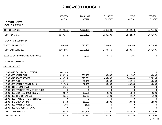|                                      | 2005-2006     | 2006-2007     | <b>CURRENT</b> | $Y-T-D$          | 2008-2009     |
|--------------------------------------|---------------|---------------|----------------|------------------|---------------|
|                                      | <b>ACTUAL</b> | <b>ACTUAL</b> | <b>BUDGET</b>  | <b>ACTUAL</b>    | <b>BUDGET</b> |
| 212-WATER/SEWER                      |               |               |                |                  |               |
| REVENUE SUMMARY                      |               |               |                |                  |               |
| <b>OTHER REVENUES</b>                | 2,119,385     | 1,577,123     | 1,581,300      | 1,542,950        | 1,671,605     |
| <b>TOTAL REVENUES</b>                | 2,119,385     | 1,577,123     | 1,581,300      | 1,542,950        | 1,671,605     |
| <b>EXPENDITURE SUMMARY</b>           |               |               |                |                  |               |
| <b>WATER DEPARTMENT</b>              | 2,106,906     | 1,573,185     | 1,730,450      | 1,548,145        | 1,671,605     |
| <b>TOTAL EXPENDITURES</b>            | 2,106,906     | 1,573,185     | 1,730,450      | 1,548,145        | 1,671,605     |
| REVENUE OVER/(UNDER) EXPENDITURES    | 12,478        | 3,939         | (149, 150)     | (5, 196)         | 0             |
| <b>FINANCIAL SUMMARY</b>             |               |               |                |                  |               |
| <b>OTHER REVENUES</b>                |               |               |                |                  |               |
| 212-00-4310 GARBAGE COLLECTION       | 442,989       | $\pmb{0}$     | $\mathbf 0$    | 0                | 0             |
| 212-00-4330 WATER SALES              | 1,025,990     | 906,130       | 980,000        | 891,287          | 980,000       |
| 212-00-4340 SEWER SERVICE            | 499,536       | 523,391       | 485,000        | 543,440          | 575,305       |
| 212-00-4350 EMS                      | 49,191        | 47,166        | 50,000         | 44,294           | 50,000        |
| 212-00-4380 WATER & SEWER TAPS       | 71,300        | 62,150        | 50,000         | 43,288           | 50,000        |
| 212-00-4410 GARBAGE TAX              | 3,781         | $\pmb{0}$     | $\pmb{0}$      | 0                | 0             |
| 212-00-4420 TRANSFER FROM OTHER FUND | 0             | $\mathbf 0$   | $\mathbf 0$    | $\boldsymbol{0}$ | $\Omega$      |
| 212-00-4430 MISCELLANEOUS INCOME     | 10,819        | 13,985        | 2,500          | 5,842            | 2,500         |
| 212-00-4435 INTEREST EARNED          | 3,355         | 12,763        | 1,000          | 4,127            | 1,000         |
| 212-00-4465 TRANSFER FROM RESERVES   | 0             | $\mathbf 0$   | 0              | 0                | $\mathbf{0}$  |
| 212-00-4475 EMS CONTRACT             | 12,728        | 11,667        | 12,800         | 10,672           | 12,800        |
| 212-00-4480 WATER DEPOSITS           | (304)         | (128)         | 0              | 0                | 0             |
| 212-00-4485 REIMBURSED FUNDS         | 0             | 0             | $\pmb{0}$      | $\pmb{0}$        | 0             |
| <b>TOTAL OTHER REVENUES</b>          | 2,119,385     | 1,577,123     | 1,581,300      | 1,542,950        | 1,671,605     |
| <b>TOTAL REVENUES</b>                | 2,119,385     | 1,577,123     | 1,581,300      | 1,542,950        | 1,671,605     |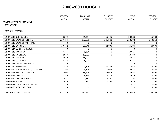|                                      | 2005-2006     | 2006-2007     | <b>CURRENT</b> | $Y-T-D$       | 2008-2009     |
|--------------------------------------|---------------|---------------|----------------|---------------|---------------|
|                                      | <b>ACTUAL</b> | <b>ACTUAL</b> | <b>BUDGET</b>  | <b>ACTUAL</b> | <b>BUDGET</b> |
| <b>WATER/SEWER DEPARTMENT</b>        |               |               |                |               |               |
| <b>EXPENDITURES</b>                  |               |               |                |               |               |
| PERSONNEL SERVICES                   |               |               |                |               |               |
| 212-07-5110 SUPERVISION              | 48,672        | 51,364        | 55,125         | 38,283        | 56,780        |
| 212-07-5111 SALARIES FULL-TIME       | 257,784       | 277,051       | 326,828        | 238,308       | 343,510       |
| 212-07-5112 SALARIES PART-TIME       | 0             | 0             | 0              | 0             | $\Omega$      |
| 212-07-5113 OVFRTIMF                 | 20,442        | 20,946        | 24,000         | 14,294        | 24,000        |
| 212-07-5114 CONTRACT LABOR           | 0             | 0             | $\pmb{0}$      | 0             | 0             |
| 212-07-5115 VACATION                 | 13,775        | 8,364         | 0              | 18,615        | 0             |
| 212-07-5116 SICK LEAVE               | 12,047        | 12,952        | 0              | 18,483        | $\mathbf 0$   |
| 212-07-5117 HOLIDAY                  | 13,930        | 14,907        | 0              | 14,886        | 0             |
| 212-07-5118 COMP TIME                | 2,737         | 4,026         | $\pmb{0}$      | 9,771         | 0             |
| 212-07-5155 CERTIFICATION PAY        | 0             | 0             | $\pmb{0}$      | 0             | $\mathbf{0}$  |
| 212-07-5160 RETIREMENT               | 31,352        | 29,108        | 45,467         | 31,568        | 59,405        |
| 212-07-5170 SOCIAL SECURITY/MEDICARE | 28,292        | 29,805        | 31,055         | 26,977        | 32,460        |
| 212-07-5175 HEALTH INSURANCE         | 54,504        | 55,278        | 56,016         | 42,067        | 56,500        |
| 212-07-5176 DENTAL                   | 4,749         | 3,855         | 3,312          | 2,686         | 3,800         |
| 212-07-5177 LIFE INSURANCE           | 2,042         | 1,880         | 2,160          | 1,193         | 2,900         |
| 212-07-5178 VISION                   | 1,450         | 1,287         | 1,296          | 1,080         | 1,500         |
| 212-07-5179 LONG TERM DISABILITY     | 0             | 0             | 0              | 922           | 2,900         |
| 212-07-5180 WORKERS COMP             | 0             | 0             | 0              | 11,714        | 14,500        |
| <b>TOTAL PERSONNEL SERVICES</b>      | 491,776       | 510,821       | 545,259        | 470,848       | 598,255       |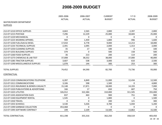|                                        | 2005-2006     | 2006-2007     | <b>CURRENT</b> | $Y-T-D$       | 2008-2009     |
|----------------------------------------|---------------|---------------|----------------|---------------|---------------|
|                                        | <b>ACTUAL</b> | <b>ACTUAL</b> | <b>BUDGET</b>  | <b>ACTUAL</b> | <b>BUDGET</b> |
| WATER/SEWER DEPARTMENT                 |               |               |                |               |               |
| <b>SUPPLIES</b>                        |               |               |                |               |               |
|                                        |               |               |                |               |               |
| 212-07-5210 OFFICE SUPPLIES            | 4,663         | 2,565         | 2,800          | 2,397         | 2,800         |
| 212-07-5215 POSTAGE                    | 7,296         | 12,229        | 25,000         | 18,683        | 25,000        |
| 212-07-5220 MECHANICAL                 | 0             | 0             | 0              | 0             | $\mathbf{0}$  |
| 212-07-5225 WEARING APPAREL            | 949           | 1,459         | 1,800          | 996           | 1,600         |
| 212-07-5230 FUEL/GAS & DIESEL          | 17,010        | 6,778         | 9,000          | 12,213        | 18,000        |
| 212-07-5235 TECHNICAL SUPPLIES         | 2,391         | 2,095         | 2,000          | 1,313         | 2,000         |
| 212-07-5250 CLEANING SUPPLIES          | 35            | 17            | 100            | 0             | 100           |
| 212-07-5255 BUILDING SUPPLIES          | 379           | $\mathbf 0$   | 500            | 158           | 500           |
| 212-07-5260 FOOD SUPPLIES              | 36            | 213           | 200            | 114           | 200           |
| 212-07-5275 CHEMICALS & LAB TEST       | 37,008        | 38,552        | 38,000         | 37,000        | 40,000        |
| 212-07-5285 TRACTOR SUPPLIES           | 3,607         | 538           | 3,000          | 610           | 2,500         |
| 212-07-5290 MISCELLANEOUS SUPPLIES     | 1,078         | 144           | 300            | 253           | 300           |
| <b>TOTAL SUPPLIES</b>                  | 74,452        | 64,590        | 82,700         | 73,736        | 93,000        |
|                                        |               |               |                |               |               |
| <b>CONTRACTUAL</b>                     |               |               |                |               |               |
| 212-07-5310 COMMUNICATIONS-TELEPHONE   | 6,287         | 6,849         | 11,000         | 12,434        | 12,500        |
| 212-07-5311 COMMUNICATIONS             | 3,106         | 598           | 1,500          | $\Omega$      | 4,800         |
| 212-07-5315 INSURANCE & BONDS-CASUALTY | 15,148        | 17,871        | 18,000         | 14,193        | 7,000         |
| 212-07-5320 PUBLICATIONS & ADVERTISING | 166           | 17            | 650            | 607           | 750           |
| 212-07-5325 UTILITIES                  | 326,912       | 322,384       | 310,000        | 311,505       | 355,000       |
| 212-07-5335 ASSOCIATION DUES           | 837           | 463           | 900            | 751           | 900           |
| 212-07-5340 EQUIPMENT RENTAL           | 1,545         | $\mathbf 0$   | 1,800          | $\mathbf 0$   | 1,500         |
| 212-07-5350 TRAVEL                     | $\mathbf{0}$  | $\mathbf{0}$  | 200            | 121           | 300           |
| 212-07-5355 SCHOOLS                    | 3,530         | 5,026         | 4,700          | 5,044         | 5,200         |
| 212-07-5390 GARBAGE COLLECTION         | 453,468       | $\mathbf 0$   | $\mathbf 0$    | $\mathbf 0$   | $\Omega$      |
| 212-07-5395 SOFTWARE CONTRACT          | 199           | 2,109         | 13,500         | 13,863        | 15,500        |
|                                        |               |               |                |               |               |
| <b>TOTAL CONTRACTUAL</b>               | 811,198       | 355,316       | 362,250        | 358,519       | 403,450       |
|                                        |               |               |                |               |               |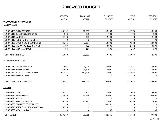|                                      | 2005-2006     | 2006-2007     | <b>CURRENT</b> | $Y-T-D$       | 2008-2009     |
|--------------------------------------|---------------|---------------|----------------|---------------|---------------|
|                                      | <b>ACTUAL</b> | <b>ACTUAL</b> | <b>BUDGET</b>  | <b>ACTUAL</b> | <b>BUDGET</b> |
| WATER/SEWER DEPARTMENT               |               |               |                |               |               |
| MAINTENANCE                          |               |               |                |               |               |
|                                      |               |               |                |               |               |
| 212-07-5400 EMS CONTRACT             | 48,162        | 46,657        | 48,500         | 42,975        | 48,500        |
| 212-07-5410 BUILDING & GROUNDS       | 523           | 288           | 900            | 493           | 900           |
| 212-07-5411 JANITORIAL               | 2,708         | 358           | 2,400          | 0             | 2,400         |
| 212-07-5415 FURNITURE & FIXTURES     | $\mathbf 0$   | $\mathbf 0$   | 400            | $\mathbf 0$   | 400           |
| 212-07-5420 MACHINERY & EQUIPMENT    | 13,375        | 7,364         | 12,000         | 7,628         | 12,000        |
| 212-07-5430 MOTOR VEHICLE & MAINT    | 6,407         | 451           | 3,000          | 2,762         | 3,500         |
| 212-07-5460 MISCELLANEOUS            | 494           | 114           | 500            | 219           | 500           |
| <b>TOTAL MAINTENANCE</b>             | 71,670        | 55,233        | 67,700         | 54,077        | 68,200        |
| INFRASTRUCTURE-MISC                  |               |               |                |               |               |
| 212-07-5510 SANITARY SEWER           | 25,691        | 23,926        | 38,000         | 35,881        | 30,000        |
| 212-07-5515 WATER MAINS              | 12,929        | 24,203        | 38,000         | 32,172        | 30,000        |
| 212-07-5520 PLANTS-TOWERS-WELLS      | 201,351       | 251,476       | 230,000        | 253,562       | 175,000       |
| 212-07-5525 SERVICE LINES            | 0             | 0             | 0              | 0             | $\mathbf{0}$  |
| TOTAL INFRASTRUCTURE-MISC            | 239,971       | 299,604       | 306,000        | 321,614       | 235,000       |
| <b>SUNDRY</b>                        |               |               |                |               |               |
| 212-07-5620 LEGAL                    | 19,311        | 5,107         | 7,000          | 643           | 5,000         |
| 212-07-5621 PROFESSIONAL             | 73,075        | 36,429        | 60,000         | 53,859        | 60,000        |
| 212-07-5625 REFUNDS                  | $\Omega$      | $\mathbf{0}$  | 0              | 0             | $\Omega$      |
| 212-07-5630 INSPECTION FEES          | 10,398        | 10,277        | 12,000         | 10,959        | 12,000        |
| 212-07-5635 TRANSFER TO RESERVES     | $\mathbf 0$   | 0             | 49,191         | $\pmb{0}$     | $\mathbf 0$   |
| 212-07-5640 STATE COMP (GARBAGE TAX) | 36,516        | $\mathbf 0$   | $\pmb{0}$      | 0             | $\mathbf 0$   |
| 212-07-5660 MISCELLANEOUS            | 19            | 4             | 50             | $\pmb{0}$     | 100           |
| <b>TOTAL SUNDRY</b>                  | 139,319       | 51,816        | 128,241        | 65,462        | 77,100        |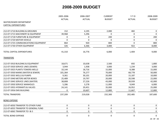|                                      | 2005-2006     | 2006-2007     | <b>CURRENT</b> | $Y-T-D$       | 2008-2009     |
|--------------------------------------|---------------|---------------|----------------|---------------|---------------|
|                                      | <b>ACTUAL</b> | <b>ACTUAL</b> | <b>BUDGET</b>  | <b>ACTUAL</b> | <b>BUDGET</b> |
| WATER/SEWER DEPARTMENT               |               |               |                |               |               |
| <b>CAPITAL EXPENDITURES</b>          |               |               |                |               |               |
| 212-07-5710 BUILDING & GROUNDS       | 152           | 4,195         | 2,000          | 482           | $\mathbf 0$   |
| 212-07-5715 MACHINERY & EQUIPMENT    | 39,968        | 5,296         | $\Omega$       | 0             | $\mathbf{0}$  |
| 212-07-5718 FURNITURE & EQUIPMENT    | 0             | 0             | 200            | $\mathbf 0$   | 200           |
| 212-07-5720 MOTOR VEHICLE            | $\mathbf 0$   | $\mathbf 0$   | 0              | 0             | $\mathbf 0$   |
| 212-07-5725 COMMUNICATIONS EQUIPMENT | 864           | 920           | 800            | 0             | 800           |
| 212-07-5730 OTHER EQUIPMENT          | 326           | 6,366         | 3,000          | 922           | 8,000         |
| TOTAL CAPITAL EXPENDITURES           | 41,310        | 16,776        | 6,000          | 1,404         | 9,000         |
| TRANSFERS                            |               |               |                |               |               |
| 212-07-5910 BUILDING & EQUIPMENT     | 18,671        | 10,638        | 2,500          | 692           | 1,800         |
| 212-07-5920 SERVICE LINES (SEWER)    | 3,944         | 1,938         | 3,000          | 1,234         | 3,000         |
| 212-07-5925 PLANTS-TOWERS-WELLS      | 10,144        | 18,716        | 15,000         | 8,388         | 15,000        |
| 212-07-5930 MAINS (WATER & SEWER)    | 101,364       | 76,277        | 70,000         | 68,778        | 50,000        |
| 212-07-5935 WELLS & PUMPS            | 9,361         | 30,101        | 20,000         | 15,187        | 10,000        |
| 212-07-5940 METERS METER BOXES       | 25,489        | 19,797        | 20,000         | 20,598        | 22,000        |
| 212-07-5945 SERVICE LINES (WATER)    | 38,808        | 27,226        | 43,000         | 39,939        | 42,000        |
| 212-07-5950 SERVICE MANHOLES         | 5,286         | 3,278         | 11,000         | 9,049         | 6,000         |
| 212-07-5955 HYDRANTS & VALVES        | 24,141        | 20,451        | 35,000         | 26,952        | 25,000        |
| 212-07-5956 EMS BUILDING             | 0             | 10,607        | 12,800         | 11,667        | 12,800        |
| <b>TOTAL TRANSFERS</b>               | 237,209       | 219,028       | 232,300        | 202,485       | 187,600       |
| <b>BOND EXPENSE</b>                  |               |               |                |               |               |
| 212-07-6050 TRANSFER TO OTHER FUND   | $\mathbf 0$   | 0             | 0              | $\pmb{0}$     | $\bf{0}$      |
| 212-07-6055 TRANSFER TO GENERAL FUND | $\mathbf 0$   | $\mathbf 0$   | 0              | $\mathbf 0$   | 0             |
| 212-07-6065 TRANSFER TO I & S        | $\pmb{0}$     | 0             | 0              | $\pmb{0}$     | $\mathbf 0$   |
| <b>TOTAL BOND EXPENSE</b>            | $\pmb{0}$     | 0             | $\pmb{0}$      | $\pmb{0}$     | $\mathbf 0$   |
|                                      |               |               |                |               | 28 OF 40      |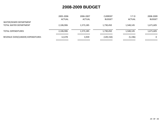| REVENUE OVER/(UNDER) EXPENDITURES | 12,478        | 3,939         | (149, 150)    | (5, 196)      | 0             |
|-----------------------------------|---------------|---------------|---------------|---------------|---------------|
| <b>TOTAL EXPENDITURES</b>         | 2,106,906     | 1,573,185     | 1,730,450     | 1,548,145     | 1,671,605     |
| TOTAL WATER DEPARTMENT            | 2,106,906     | 1,573,185     | 1,730,450     | 1,548,145     | 1,671,605     |
| WATER/SEWER DEPARTMENT            | <b>ACTUAL</b> | <b>ACTUAL</b> | <b>BUDGET</b> | <b>ACTUAL</b> | <b>BUDGET</b> |
|                                   | 2005-2006     | 2006-2007     | CURRENT       | $Y-T-D$       | 2008-2009     |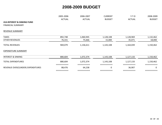|                                        | 2005-2006             | 2006-2007             | <b>CURRENT</b>                       | $Y-T-D$       | 2008-2009     |
|----------------------------------------|-----------------------|-----------------------|--------------------------------------|---------------|---------------|
|                                        | <b>ACTUAL</b>         | <b>ACTUAL</b>         | <b>BUDGET</b>                        | <b>ACTUAL</b> | <b>BUDGET</b> |
| <b>414-INTEREST &amp; SINKING FUND</b> |                       |                       |                                      |               |               |
| <b>FINANCIAL SUMMARY</b>               |                       |                       |                                      |               |               |
| <b>REVENUE SUMMARY</b>                 |                       |                       |                                      |               |               |
| <b>TAXES</b>                           | 892,748               | 1,060,945             | 1,128,108                            | 1,128,969     | 1,132,462     |
| <b>OTHER REVENUES</b>                  | 76,331                | 75,666                | 15,000                               | 35,071        | 18,000        |
| <b>TOTAL REVENUES</b>                  | 969,079               | 1,136,611             | 1,143,108                            | 1,164,039     | 1,150,462     |
| <b>EXPENDITURE SUMMARY</b>             |                       |                       |                                      |               |               |
| <b>INTEREST &amp; SINKING</b>          | 880,604               | 1,072,374             | 1,143,108                            | 1,127,133     | 1,150,462     |
| <b>TOTAL EXPENDITURES</b>              | 880,604               | 1,072,374             | 1,143,108                            | 1,127,133     | 1,150,462     |
| REVENUE OVER/(UNDER) EXPENDITURES      | ===========<br>88,476 | ===========<br>64,238 | $=$ = = = = = = = = = =<br>$\pmb{0}$ | 36,907        | 0             |
|                                        | ===========           | ===========           | ===========                          | ===========   | ===========   |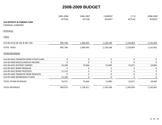|                                                                    | 2005-2006<br><b>ACTUAL</b> | 2006-2007<br><b>ACTUAL</b> | <b>CURRENT</b><br><b>BUDGET</b> | $Y-T-D$<br><b>ACTUAL</b> | 2008-2009<br><b>BUDGET</b> |
|--------------------------------------------------------------------|----------------------------|----------------------------|---------------------------------|--------------------------|----------------------------|
| <b>414-INTEREST &amp; SINKING FUND</b><br><b>FINANCIAL SUMMARY</b> |                            |                            |                                 |                          |                            |
| <b>REVENUES</b>                                                    |                            |                            |                                 |                          |                            |
| <b>TAXES</b>                                                       |                            |                            |                                 |                          |                            |
| 414-00-4110 AD VAL & DEL TAX                                       | 892,748                    | 1,060,945                  | 1,128,108                       | 1,128,969                | 1,132,462                  |
| <b>TOTAL TAXES</b>                                                 | 892,748                    | 1,060,945                  | 1,128,108                       | 1,128,969                | 1,132,462                  |
| <b>OTHER REVENUES</b>                                              |                            |                            |                                 |                          |                            |
| 414-00-4420 TRANSFER FROM OTHER FUND                               | $\mathbf 0$                | 0                          | 0                               | 0                        | 0                          |
| 414-00-4430 MISCELLANEOUS INCOME                                   | $\mathbf 0$                | $\mathbf 0$                | $\mathbf 0$                     | 0                        | $\mathbf{0}$               |
| 414-00-4435 INTEREST EARNED                                        | 53,108                     | 75,666                     | 15,000                          | 35,071                   | 18,000                     |
| 414-00-4451 BOND PREMIUM                                           | $\mathbf 0$                | 0                          | 0                               | 0                        | 0                          |
| 414-00-4452 BOND PROCEEDS                                          | 11,123                     | 0                          | $\mathbf 0$                     | 0                        | 0                          |
| 414-00-4465 TRANSFER FROM RESERVES                                 | $\mathbf 0$                | $\mathbf 0$                | $\mathbf 0$                     | 0                        | $\mathbf 0$                |
| 414-00-4485 REIMBURSED FUNDS                                       | 12,100                     | 0                          | 0                               | 0                        | $\mathbf{0}$               |
| <b>TOTAL OTHER REVENUES</b>                                        | 76,331                     | 75,666                     | 15,000                          | 35,071                   | 18,000                     |
| <b>TOTAL REVENUES</b>                                              | 969,079                    | 1,136,611                  | 1,143,108                       | 1,164,039                | 1,150,462                  |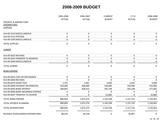|                                     | 2005-2006                          | 2006-2007                | <b>CURRENT</b>           | $Y-T-D$                  | 2008-2009                |
|-------------------------------------|------------------------------------|--------------------------|--------------------------|--------------------------|--------------------------|
|                                     | <b>ACTUAL</b>                      | <b>ACTUAL</b>            | <b>BUDGET</b>            | <b>ACTUAL</b>            | <b>BUDGET</b>            |
| <b>INTEREST &amp; SINKING FUND</b>  |                                    |                          |                          |                          |                          |
| <b>EXPENDITURES</b>                 |                                    |                          |                          |                          |                          |
| <b>SUPPLIES</b>                     |                                    |                          |                          |                          |                          |
| 414-09-5210 MISCELLANEOUS           | $\mathbf 0$                        | $\pmb{0}$                | 0                        | 0                        | 0                        |
| 414-09-5215 POSTAGE                 | $\pmb{0}$                          | $\pmb{0}$                | 0                        | $\pmb{0}$                | $\mathbf 0$              |
| 414-09-5290 MISCELLANEOUS           | 0                                  | 0                        | 0                        | 0                        | 0                        |
| <b>TOTAL SUPPLIES</b>               | $\pmb{0}$                          | $\pmb{0}$                | 0                        | 0                        | $\mathbf 0$              |
| <b>SUNDRY</b>                       |                                    |                          |                          |                          |                          |
| 414-09-5625 REFUNDS                 | $\mathbf 0$                        | $\pmb{0}$                | 0                        | $\mathbf 0$              | $\boldsymbol{0}$         |
| 414-09-5635 TRANSFER TO RESERVES    | 0                                  | $\pmb{0}$                | 0                        | 0                        | $\bf{0}$                 |
| 414-09-5660 MISCELLANEOUS           | 0                                  | $\mathbf 0$              | 0                        | 0                        | $\mathbf 0$              |
| <b>TOTAL SUNDRY</b>                 | $\mathbf 0$                        | $\pmb{0}$                | 0                        | 0                        | $\mathbf 0$              |
| <b>BOND EXPENSE</b>                 |                                    |                          |                          |                          |                          |
| 414-09-6025 LOSS ON DEFEASANCE      | $\mathbf 0$                        | $\mathbf 0$              | 0                        | 0                        | 0                        |
| 414-09-6040 REFUNDS                 | 0                                  | 0                        | 0                        | 0                        | $\mathbf{0}$             |
| 414-09-6079 AGENT FEES              | 1,761                              | 2,961                    | 3,000                    | 2,025                    | 3,000                    |
| 414-09-6090 PAYMENT ON PRINCIPAL    | 410,000                            | 460,000                  | 530,000                  | 530,000                  | 555,000                  |
| 414-09-6095 BOND INTEREST           | 468,843                            | 609,413                  | 595,108                  | 595,108                  | 577,462                  |
| 414-09-6096 BOND INSURANCE EXPENSE  | 0                                  | $\pmb{0}$                | 0                        | 0                        | $\Omega$                 |
| 414-09-6097 TRANSFER TO ESCROW      | 0                                  | 0                        | 15,000                   | $\Omega$                 | 15,000                   |
| <b>TOTAL BOND EXPENSE</b>           | 880,604                            | 1,072,374                | 1,143,108                | 1,127,133                | 1,150,462                |
| <b>TOTAL INTEREST &amp; SINKING</b> | 880,604                            | 1,072,374                | 1,143,108                | 1,127,133                | 1,150,462                |
| <b>TOTAL EXPENDITURES</b>           | 880,604<br>$=$ = = = = = = = = = = | 1,072,374<br>=========== | 1,143,108<br>=========== | 1,127,133<br>=========== | 1,150,462<br>=========== |
| REVENUE OVER/(UNDER) EXPENDITURES   | 88,476                             | 64,238                   | 0                        | 36,907                   | $\boldsymbol{0}$         |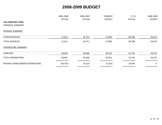|                                   | 2005-2006     | 2006-2007     | <b>CURRENT</b> | $Y-T-D$       | 2008-2009      |
|-----------------------------------|---------------|---------------|----------------|---------------|----------------|
|                                   | <b>ACTUAL</b> | <b>ACTUAL</b> | <b>BUDGET</b>  | <b>ACTUAL</b> | <b>BUDGET</b>  |
| <b>513-CEMETERY FUND</b>          |               |               |                |               |                |
| <b>FINANCIAL SUMMARY</b>          |               |               |                |               |                |
| <b>REVENUE SUMMARY</b>            |               |               |                |               |                |
| <b>OTHER REVENUES</b>             | 21,811        | 35,751        | 27,000         | 38,798        | 24,675         |
| <b>TOTAL REVENUES</b>             | 21,811        | 35,751        | 27,000         | 38,798        | 24,675         |
| <b>EXPENDITURE SUMMARY</b>        |               |               |                |               |                |
| <b>CEMETERY</b>                   | 58,601        | 44,968        | 30,352         | 22,739        | 24,675         |
| <b>TOTAL EXPENDITURES</b>         | 58,601        | 44,968        | 30,352         | 22,739        | 24,675         |
| REVENUE OVER/(UNDER) EXPENDITURES | (36, 791)     | (9, 217)      | (3, 352)       | 16,059        | $\overline{0}$ |
|                                   | ===========   | -----------   | ===--------    | -----------   |                |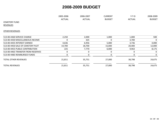|                                    | 2005-2006     | 2006-2007        | <b>CURRENT</b> | $Y-T-D$       | 2008-2009     |
|------------------------------------|---------------|------------------|----------------|---------------|---------------|
|                                    | <b>ACTUAL</b> | <b>ACTUAL</b>    | <b>BUDGET</b>  | <b>ACTUAL</b> | <b>BUDGET</b> |
| <b>CEMETERY FUND</b>               |               |                  |                |               |               |
| <b>REVENUES</b>                    |               |                  |                |               |               |
| <b>OTHER REVENUES</b>              |               |                  |                |               |               |
| 513-00-4360 SERVICE CHARGE         | 2,250         | 2,000            | 1,000          | 1,000         | 500           |
| 513-00-4430 MISCELLANEOUS INCOME   | $\Omega$      | 325              | 0              | 3,700         | $\Omega$      |
| 513-00-4435 INTEREST EARNED        | 4,636         | 6,956            | 5,000          | 3,736         | 4,000         |
| 513-00-4450 SALE OF CEMETERY PLOT  | 14,700        | 18,700           | 15,000         | 20,400        | 12,000        |
| 513-00-4455 PUBLIC CONTRIBUTION    | 225           | 7,770            | 6,000          | 9,963         | 8,175         |
| 513-00-4465 TRANSFER FROM RESERVES | 0             | $\boldsymbol{0}$ | $\pmb{0}$      | 0             | 0             |
| 513-00-4485 REIMBURSED FUNDS       | 0             | $\mathbf 0$      | $\pmb{0}$      | 0             | 0             |
| <b>TOTAL OTHER REVENUES</b>        | 21,811        | 35,751           | 27,000         | 38,798        | 24,675        |
| <b>TOTAL REVENUES</b>              | 21,811        | 35,751           | 27,000         | 38,798        | 24,675        |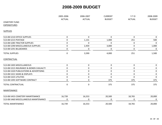|                                        | 2005-2006     | 2006-2007     | <b>CURRENT</b>   | $Y-T-D$       | 2008-2009     |
|----------------------------------------|---------------|---------------|------------------|---------------|---------------|
|                                        | <b>ACTUAL</b> | <b>ACTUAL</b> | <b>BUDGET</b>    | <b>ACTUAL</b> | <b>BUDGET</b> |
| <b>CEMETERY FUND</b>                   |               |               |                  |               |               |
| <b>EXPENDITURES</b>                    |               |               |                  |               |               |
| <b>SUPPLIES</b>                        |               |               |                  |               |               |
| 513-08-5210 OFFICE SUPPLIES            | $\mathbf 0$   | $\mathbf 0$   | $\mathbf 0$      | $\mathbf 0$   | $\Omega$      |
| 513-08-5215 POSTAGE                    | 0             | 1,131         | 1,000            | 251           | 500           |
| 513-08-5285 TRACTOR SUPPLIES           | $\mathbf 0$   | $\Omega$      | $\Omega$         | 0             | $\Omega$      |
| 513-08-5290 MISCELLANEOUS SUPPLIES     | $\mathbf 0$   | 2,459         | 3,000            | $\pmb{0}$     | 1,000         |
| 513-08-5291 BILLBOARDS                 | 0             | 0             | 0                | 0             | $\Omega$      |
| <b>TOTAL SUPPLIES</b>                  | $\pmb{0}$     | 3,590         | 4,000            | 251           | 1,500         |
| <b>CONTRACTUAL</b>                     |               |               |                  |               |               |
| 513-08-5305 MISCELLANEOUS              | $\mathbf 0$   | $\mathbf 0$   | $\pmb{0}$        | $\pmb{0}$     | $\mathbf 0$   |
| 513-08-5315 INSURANCE & BONDS CASUALTY | $\pmb{0}$     | 0             | $\pmb{0}$        | 0             | 0             |
| 513-08-5320 PUBLICATIONS & ADVERTISING | $\pmb{0}$     | $\pmb{0}$     | $\pmb{0}$        | $\pmb{0}$     | 0             |
| 513-08-5321 SIGNS & DISPLAYS           | 0             | 0             | $\boldsymbol{0}$ | 0             | 0             |
| 513-08-5325 UTILITIES                  | 0             | 0             | $\mathbf 0$      | $\mathbf 0$   | $\Omega$      |
| 513-08-5395 SOFTWARE CONTRACT          | 0             | $\pmb{0}$     | 375              | 375           | 375           |
| TOTAL CONTRACTUAL                      | $\mathbf 0$   | $\mathbf 0$   | 375              | 375           | 375           |
| MAINTENANCE                            |               |               |                  |               |               |
| 513-08-5455 CEMETERY MAINTENANCE       | 16,739        | 16,553        | 20,500           | 18,765        | 20,000        |
| 513-08-5460 MISCELLANEOUS MAINTENANCE  | 0             | 0             | $\mathbf 0$      | 0             | 0             |
| <b>TOTAL MAINTENANCE</b>               | 16,739        | 16,553        | 20,500           | 18,765        | 20,000        |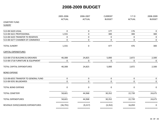| 2005-2006<br><b>ACTUAL</b> | 2006-2007<br><b>ACTUAL</b> | <b>CURRENT</b><br><b>BUDGET</b>          | $Y-T-D$<br><b>ACTUAL</b>   | 2008-2009<br><b>BUDGET</b>    |
|----------------------------|----------------------------|------------------------------------------|----------------------------|-------------------------------|
|                            |                            |                                          |                            |                               |
|                            |                            |                                          |                            |                               |
| $\mathbf 0$                | $\mathbf 0$                | 177                                      | 176                        | $\mathbf 0$                   |
| 1,555                      | $\pmb{0}$                  | 300                                      | 300                        | 300                           |
| 0                          | $\mathbf 0$                | 0                                        | 0                          | $\bf{0}$                      |
| 0                          | $\mathbf 0$                | 0                                        | $\mathbf 0$                | $\mathbf 0$                   |
| 1,555                      | $\mathbf 0$                | 477                                      | 476                        | 300                           |
|                            |                            |                                          |                            |                               |
| 40,308                     | 24,825                     | 5,000                                    | 2,872                      | 2,500                         |
| 0                          | 0                          | 0                                        | $\mathbf 0$                | 0                             |
| 40,308                     | 24,825                     | 5,000                                    | 2,872                      | 2,500                         |
|                            |                            |                                          |                            |                               |
| $\pmb{0}$                  | $\mathbf 0$                | 0                                        | $\pmb{0}$                  | $\mathbf 0$                   |
| $\boldsymbol{0}$           | 0                          | 0                                        | $\boldsymbol{0}$           | 0                             |
| $\boldsymbol{0}$           | $\mathbf 0$                | 0                                        | $\pmb{0}$                  | $\mathbf 0$                   |
| 58,601                     | 44,968                     | 30,352                                   | 22,739                     | 24,675                        |
| 58,601                     | 44,968                     | 30,352                                   | 22,739                     | 24,675<br>===========         |
| (36, 791)                  | (9, 217)                   | (3, 352)                                 | 16,059                     | $\mathbf 0$<br>$=$ ========== |
|                            | ===========<br>=========== | $=$ = = = = = = = = = = =<br>=========== | ===========<br>=========== | ===========<br>===========    |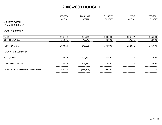|                                   | 2005-2006             | 2006-2007<br><b>ACTUAL</b> | <b>CURRENT</b><br><b>BUDGET</b> | $Y-T-D$<br><b>ACTUAL</b> | 2008-2009<br><b>BUDGET</b> |
|-----------------------------------|-----------------------|----------------------------|---------------------------------|--------------------------|----------------------------|
|                                   | <b>ACTUAL</b>         |                            |                                 |                          |                            |
| 516-HOTEL/MOTEL                   |                       |                            |                                 |                          |                            |
| <b>FINANCIAL SUMMARY</b>          |                       |                            |                                 |                          |                            |
| REVENUE SUMMARY                   |                       |                            |                                 |                          |                            |
| <b>TAXES</b>                      | 173,422               | 204,965                    | 200,000                         | 233,497                  | 225,000                    |
| <b>OTHER REVENUES</b>             | 35,601                | 43,043                     | 30,000                          | 19,355                   | 10,000                     |
| <b>TOTAL REVENUES</b>             | 209,024               | 248,008                    | 230,000                         | 252,851                  | 235,000                    |
| <b>EXPENDITURE SUMMARY</b>        |                       |                            |                                 |                          |                            |
| HOTEL/MOTEL                       | 112,810               | 503,151                    | 336,500                         | 271,734                  | 235,000                    |
| <b>TOTAL EXPENDITURES</b>         | 112,810               | 503,151                    | 336,500                         | 271,734                  | 235,000                    |
| REVENUE OVER/(UNDER) EXPENDITURES | ===========<br>96,214 | (255, 143)                 | ===========<br>(106, 500)       | (18, 883)                | $\mathbf 0$                |
|                                   | ===========           | ===========                | ===========                     | ===========              |                            |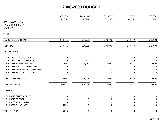|                                    | 2005-2006<br><b>ACTUAL</b> | 2006-2007<br><b>ACTUAL</b> | <b>CURRENT</b><br><b>BUDGET</b> | $Y-T-D$<br><b>ACTUAL</b> | 2008-2009<br><b>BUDGET</b> |
|------------------------------------|----------------------------|----------------------------|---------------------------------|--------------------------|----------------------------|
|                                    |                            |                            |                                 |                          |                            |
| <b>FINANCIAL SUMMARY</b>           |                            |                            |                                 |                          |                            |
| <b>REVENUES</b>                    |                            |                            |                                 |                          |                            |
| <b>TAXES</b>                       |                            |                            |                                 |                          |                            |
| 516-00-4170 MOTEL TAX              | 173,422                    | 204,965                    | 200,000                         | 233,497                  | 225,000                    |
| <b>TOTAL TAXES</b>                 | 173,422                    | 204,965                    | 200,000                         | 233,497                  | 225,000                    |
| <b>OTHER REVENUES</b>              |                            |                            |                                 |                          |                            |
| 516-00-4360 SERVICE CHARGE         | $\pmb{0}$                  | $\pmb{0}$                  | $\pmb{0}$                       | $\pmb{0}$                | 0                          |
| 516-00-4430 MISCELLANEOUS INCOME   | $\mathbf 0$                | (23)                       | 0                               | $\mathbf 0$              | $\Omega$                   |
| 516-00-4435 INTEREST EARNED        | 35,601                     | 43,067                     | 30,000                          | 19,355                   | 10,000                     |
| 516-00-4455 PUBLIC CONTRIBUTION    | $\pmb{0}$                  | $\mathbf 0$                | 0                               | 0                        | $\mathbf 0$                |
| 516-00-4465 TRANSFER FROM RESERVES | $\pmb{0}$                  | $\pmb{0}$                  | 0                               | $\pmb{0}$                | $\mathbf 0$                |
| 516-00-4485 REIMBURSED FUNDS       | $\pmb{0}$                  | $\pmb{0}$                  | 0                               | 0                        | 0                          |
| <b>TOTAL OTHER REVENUES</b>        | 35,601                     | 43,043                     | 30,000                          | 19,355                   | 10,000                     |
| <b>TOTAL REVENUES</b>              | 209,024                    | 248,008                    | 230,000                         | 252,851                  | 235,000                    |
| <b>SUPPLIES</b>                    |                            |                            |                                 |                          |                            |
| 516-21-5210 OFFICE SUPPLIES        | $\pmb{0}$                  | $\pmb{0}$                  | 0                               | 0                        | 0                          |
| 516-21-5215 POSTAGE                | $\pmb{0}$                  | $\pmb{0}$                  | 0                               | 0                        | 0                          |
| 516-21-5290 MISCELLANEOUS          | 4                          | $\pmb{0}$                  | 0                               | $\pmb{0}$                | 0                          |
| 516-21-5291 BILLBOARDS             | 6,275                      | $\mathbf 0$                | 0                               | 0                        | $\boldsymbol{0}$           |
| <b>TOTAL SUPPLIES</b>              | 6,278                      | $\pmb{0}$                  | 0                               | 0                        | $\mathbf 0$                |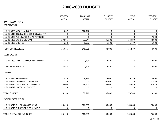|                                        | 2005-2006     | 2006-2007     | <b>CURRENT</b> | $Y-T-D$       | 2008-2009     |
|----------------------------------------|---------------|---------------|----------------|---------------|---------------|
|                                        | <b>ACTUAL</b> | <b>ACTUAL</b> | <b>BUDGET</b>  | <b>ACTUAL</b> | <b>BUDGET</b> |
| HOTEL/MOTEL FUND                       |               |               |                |               |               |
| <b>CONTRACTUAL</b>                     |               |               |                |               |               |
| 516-21-5305 MISCELLANEOUS              | (1,047)       | 212,442       | $\mathbf 0$    | 0             | 0             |
| 516-21-5315 INSURANCE & BONDS CASUALTY | 0             | $\pmb{0}$     | $\pmb{0}$      | $\mathbf 0$   | $\mathbf 0$   |
| 516-21-5320 PUBLICATIONS & ADVERTISING | 0             | $\mathbf 0$   | 0              | $\mathbf 0$   | 7,000         |
| 516-21-5321 SIGNS & DISPLAYS           | 27,505        | 32,944        | 36,500         | 34,199        | 32,000        |
| 516-21-5325 UTILITIES                  | 228           | 1,552         | 1,500          | 1,777         | 5,000         |
| <b>TOTAL CONTRACTUAL</b>               | 26,686        | 246,938       | 38,000         | 35,977        | 44,000        |
| <b>MAINTENANCE</b>                     |               |               |                |               |               |
| 516-21-5460 MISCELLANEOUS MAINTENANCE  | 6,467         | 1,406         | 2,500          | 174           | 2,500         |
| <b>TOTAL MAINTENANCE</b>               | 6,467         | 1,406         | 2,500          | 174           | 2,500         |
| <b>SUNDRY</b>                          |               |               |                |               |               |
| 516-21-5621 PROFESSIONAL               | 11,550        | 9,718         | 35,000         | 16,259        | 20,000        |
| 516-21-5635 TRANSFER TO RESERVES       | $\Omega$      | $\mathbf 0$   | 107,000        | $\mathbf 0$   | 31,885        |
| 516-21-5677 CHAMBER OF COMMERCE        | 25,400        | 28,500        | 54,000         | 54,445        | 61,615        |
| 516-21-5678 HISTORICAL SOCIETY         | 0             | $\pmb{0}$     | 0              | 0             | 0             |
| <b>TOTAL SUNDRY</b>                    | 36,950        | 38,218        | 196,000        | 70,704        | 113,500       |
| <b>CAPITAL EXPENDITURES</b>            |               |               |                |               |               |
| 516-21-5710 BUILDING & GROUNDS         | 36,428        | 216,588       | 100,000        | 164,880       | 75,000        |
| 516-21-5718 FURNITURE & EQUIPMENT      | 0             | $\pmb{0}$     | $\mathbf 0$    | 0             | $\mathbf 0$   |
| TOTAL CAPITAL EXPENDITURES             | 36,428        | 216,588       | 100,000        | 164,880       | 75,000        |